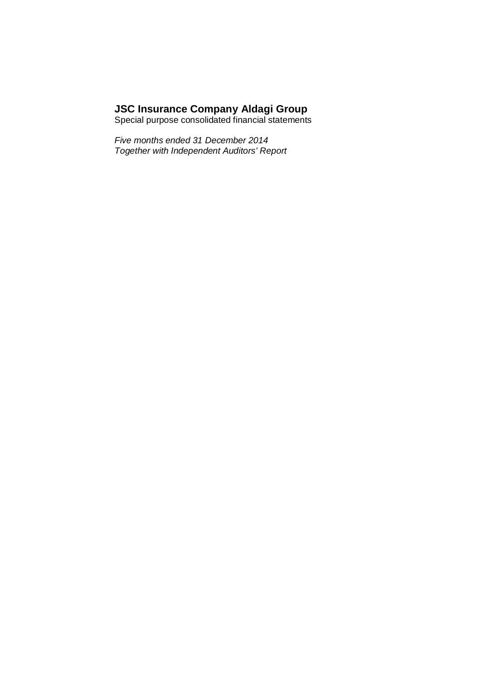# **JSC Insurance Company Aldagi Group**

Special purpose consolidated financial statements

*Five months ended 31 December 2014 Together with Independent Auditors' Report*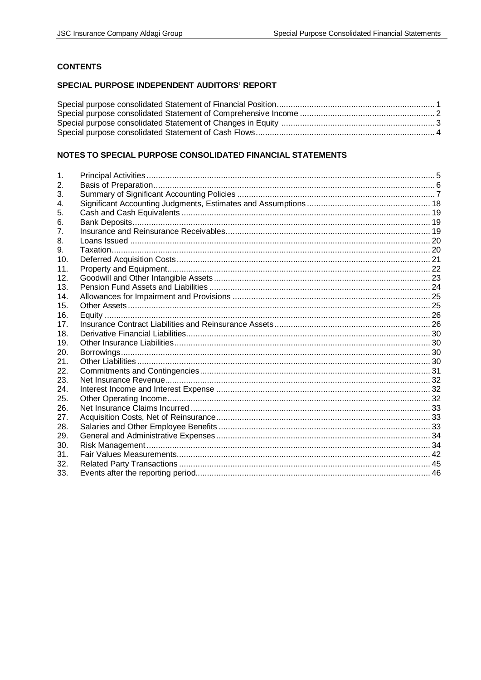# **CONTENTS**

# SPECIAL PURPOSE INDEPENDENT AUDITORS' REPORT

# NOTES TO SPECIAL PURPOSE CONSOLIDATED FINANCIAL STATEMENTS

| 1.              |  |
|-----------------|--|
| 2.              |  |
| 3.              |  |
| 4.              |  |
| 5.              |  |
| 6.              |  |
| 7.              |  |
| 8.              |  |
| 9.              |  |
| 10.             |  |
| 11.             |  |
| 12.             |  |
| 13.             |  |
| 14.             |  |
| 15.             |  |
| 16.             |  |
| 17 <sub>1</sub> |  |
| 18.             |  |
| 19.             |  |
| 20.             |  |
| 21.             |  |
| 22.             |  |
| 23.             |  |
| 24.             |  |
| 25.             |  |
| 26.             |  |
| 27.             |  |
| 28.             |  |
| 29.             |  |
| 30.             |  |
| 31.             |  |
| 32.             |  |
| 33.             |  |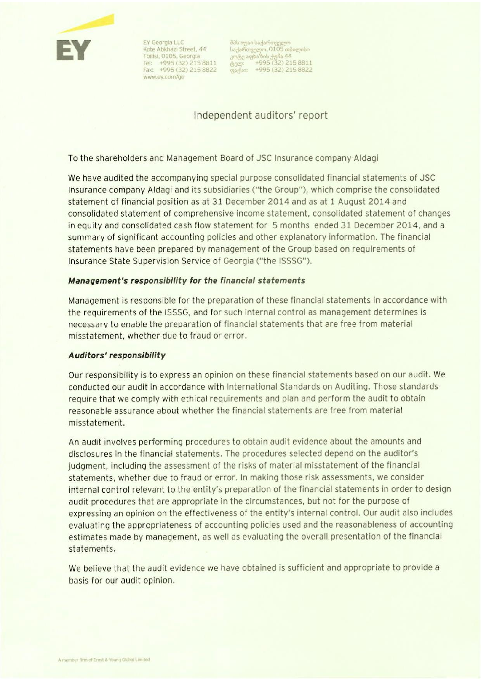

EY Georgia LLC Kote Abkhazi Street, 44 Tbilisi, 0105, Georgia Tel: +995 (32) 215 8811 Fax: +995 (32) 215 8822 www.ey.com/ge

Independent auditors' report

To the shareholders and Management Board of JSC Insurance company Aldagi

We have audited the accompanying special purpose consolidated financial statements of JSC Insurance company Aldagi and its subsidiaries ("the Group"), which comprise the consolidated statement of financial position as at 31 December 2014 and as at 1 August 2014 and consolidated statement of comprehensive income statement, consolidated statement of changes in equity and consolidated cash flow statement for 5 months ended 31 December 2014, and a summary of significant accounting policies and other explanatory information. The financial statements have been prepared by management of the Group based on requirements of Insurance State Supervision Service of Georgia ("the ISSSG").

# Management's responsibility for the financial statements

Management is responsible for the preparation of these financial statements in accordance with the requirements of the ISSSG, and for such internal control as management determines is necessary to enable the preparation of financial statements that are free from material misstatement, whether due to fraud or error.

## Auditors' responsibility

Our responsibility is to express an opinion on these financial statements based on our audit. We conducted our audit in accordance with International Standards on Auditing. Those standards require that we comply with ethical requirements and plan and perform the audit to obtain reasonable assurance about whether the financial statements are free from material misstatement.

An audit involves performing procedures to obtain audit evidence about the amounts and disclosures in the financial statements. The procedures selected depend on the auditor's judgment, including the assessment of the risks of material misstatement of the financial statements, whether due to fraud or error. In making those risk assessments, we consider internal control relevant to the entity's preparation of the financial statements in order to design audit procedures that are appropriate in the circumstances, but not for the purpose of expressing an opinion on the effectiveness of the entity's internal control. Our audit also includes evaluating the appropriateness of accounting policies used and the reasonableness of accounting estimates made by management, as well as evaluating the overall presentation of the financial statements.

We believe that the audit evidence we have obtained is sufficient and appropriate to provide a basis for our audit opinion.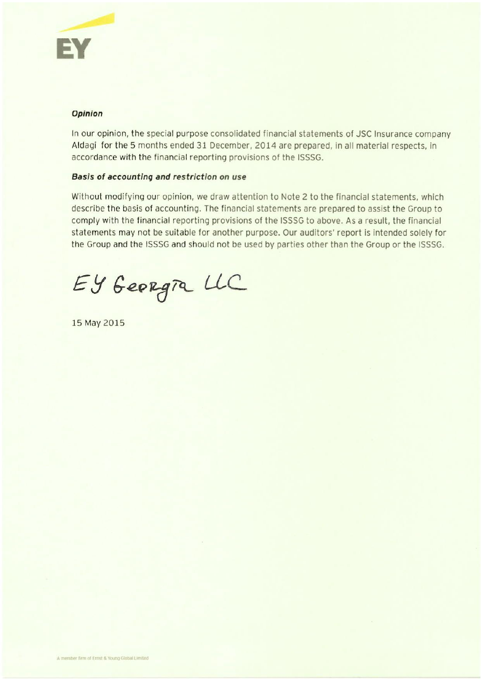

# Opinion

In our opinion, the special purpose consolidated financial statements of JSC Insurance company Aldagi for the 5 months ended 31 December, 2014 are prepared, in all material respects, in accordance with the financial reporting provisions of the ISSSG.

# Basis of accounting and restriction on use

Without modifying our opinion, we draw attention to Note 2 to the financial statements, which describe the basis of accounting. The financial statements are prepared to assist the Group to comply with the financial reporting provisions of the ISSSG to above. As a result, the financial statements may not be suitable for another purpose. Our auditors' report is intended solely for the Group and the ISSSG and should not be used by parties other than the Group or the ISSSG.

EY Georgia LLC

15 May 2015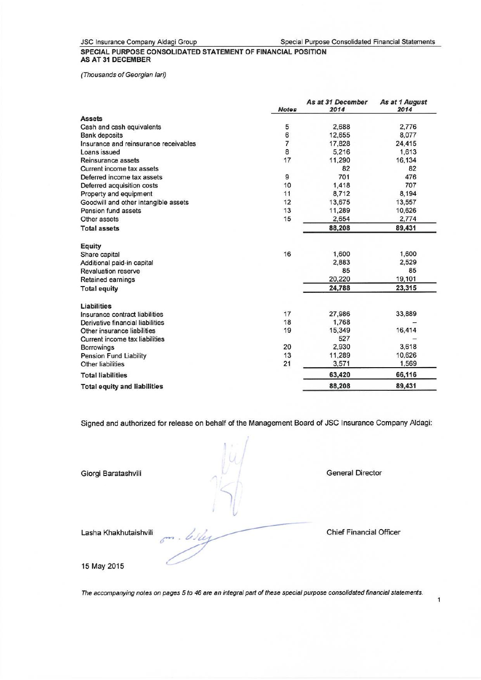JSC Insurance Company Aldagi Group

Special Purpose Consolidated Financial Statements

#### SPECIAL PURPOSE CONSOLIDATED STATEMENT OF FINANCIAL POSITION **AS AT 31 DECEMBER**

(Thousands of Georgian lari)

|                                       | <b>Notes</b>   | As at 31 December<br>2014 | As at 1 August<br>2014 |
|---------------------------------------|----------------|---------------------------|------------------------|
| <b>Assets</b>                         |                |                           |                        |
| Cash and cash equivalents             | 5              | 2,688                     | 2,776                  |
| <b>Bank deposits</b>                  | 6              | 12,655                    | 8,077                  |
| Insurance and reinsurance receivables | $\overline{7}$ | 17,828                    | 24,415                 |
| Loans issued                          | 8              | 5.216                     | 1.613                  |
| Reinsurance assets                    | 17             | 11,290                    | 16,134                 |
| Current income tax assets             |                | 82                        | 82                     |
| Deferred income tax assets            | 9              | 701                       | 476                    |
| Deferred acquisition costs            | 10             | 1,418                     | 707                    |
| Property and equipment                | 11             | 8,712                     | 8,194                  |
| Goodwill and other intangible assets  | 12             | 13,675                    | 13,557                 |
| Pension fund assets                   | 13             | 11,289                    | 10,626                 |
| Other assets                          | 15             | 2,654                     | 2,774                  |
| <b>Total assets</b>                   |                | 88,208                    | 89,431                 |
| Equity                                |                |                           |                        |
| Share capital                         | 16             | 1,600                     | 1,600                  |
| Additional paid-in capital            |                | 2,883                     | 2,529                  |
| Revaluation reserve                   |                | 85                        | 85                     |
| Retained earnings                     |                | 20,220                    | 19,101                 |
| <b>Total equity</b>                   |                | 24,788                    | 23,315                 |
| Liabilities                           |                |                           |                        |
| Insurance contract liabilities        | 17             | 27,986                    | 33,889                 |
| Derivative financial liabilities      | 18             | 1,768                     |                        |
| Other insurance liabilities           | 19             | 15,349                    | 16,414                 |
| Current income tax liabilities        |                | 527                       |                        |
| <b>Borrowings</b>                     | 20             | 2,930                     | 3,618                  |
| Pension Fund Liability                | 13             | 11,289                    | 10,626                 |
| Other liabilities                     | 21             | 3.571                     | 1,569                  |
| <b>Total liabilities</b>              |                | 63,420                    | 66,116                 |
| <b>Total equity and liabilities</b>   |                | 88,208                    | 89,431                 |

Signed and authorized for release on behalf of the Management Board of JSC Insurance Company Aldagi:

Giorgi Baratashvili

**General Director** 

Lasha Khakhutaishvili

**Chief Financial Officer** 

15 May 2015

The accompanying notes on pages 5 to 46 are an integral part of these special purpose consolidated financial statements.

.. Why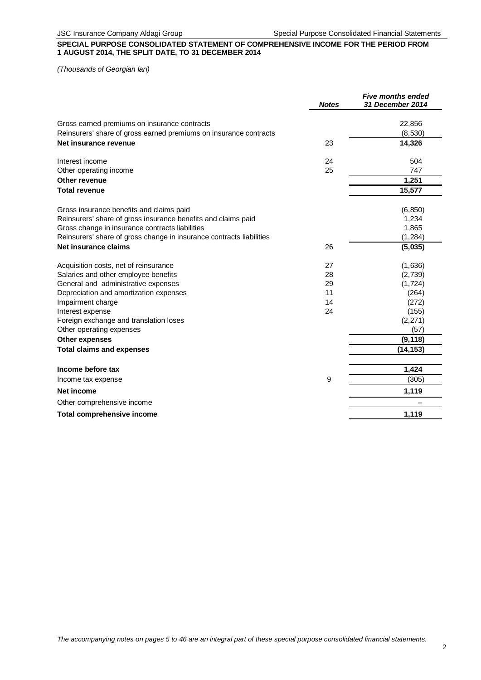## **SPECIAL PURPOSE CONSOLIDATED STATEMENT OF COMPREHENSIVE INCOME FOR THE PERIOD FROM 1 AUGUST 2014, THE SPLIT DATE, TO 31 DECEMBER 2014**

*(Thousands of Georgian lari)*

|                                                                      | <b>Notes</b> | <b>Five months ended</b><br><b>31 December 2014</b> |
|----------------------------------------------------------------------|--------------|-----------------------------------------------------|
| Gross earned premiums on insurance contracts                         |              | 22,856                                              |
| Reinsurers' share of gross earned premiums on insurance contracts    |              | (8,530)                                             |
| Net insurance revenue                                                | 23           | 14,326                                              |
| Interest income                                                      | 24           | 504                                                 |
| Other operating income                                               | 25           | 747                                                 |
| Other revenue                                                        |              | 1,251                                               |
| <b>Total revenue</b>                                                 |              | 15,577                                              |
| Gross insurance benefits and claims paid                             |              | (6, 850)                                            |
| Reinsurers' share of gross insurance benefits and claims paid        |              | 1,234                                               |
| Gross change in insurance contracts liabilities                      |              | 1,865                                               |
| Reinsurers' share of gross change in insurance contracts liabilities |              | (1, 284)                                            |
| Net insurance claims                                                 | 26           | (5,035)                                             |
| Acquisition costs, net of reinsurance                                | 27           | (1,636)                                             |
| Salaries and other employee benefits                                 | 28           | (2,739)                                             |
| General and administrative expenses                                  | 29           | (1, 724)                                            |
| Depreciation and amortization expenses                               | 11           | (264)                                               |
| Impairment charge                                                    | 14           | (272)                                               |
| Interest expense                                                     | 24           | (155)                                               |
| Foreign exchange and translation loses                               |              | (2,271)                                             |
| Other operating expenses                                             |              | (57)                                                |
| <b>Other expenses</b>                                                |              | (9, 118)                                            |
| <b>Total claims and expenses</b>                                     |              | (14, 153)                                           |
| Income before tax                                                    |              | 1,424                                               |
| Income tax expense                                                   | 9            | (305)                                               |
| Net income                                                           |              | 1,119                                               |
| Other comprehensive income                                           |              |                                                     |
| <b>Total comprehensive income</b>                                    |              | 1,119                                               |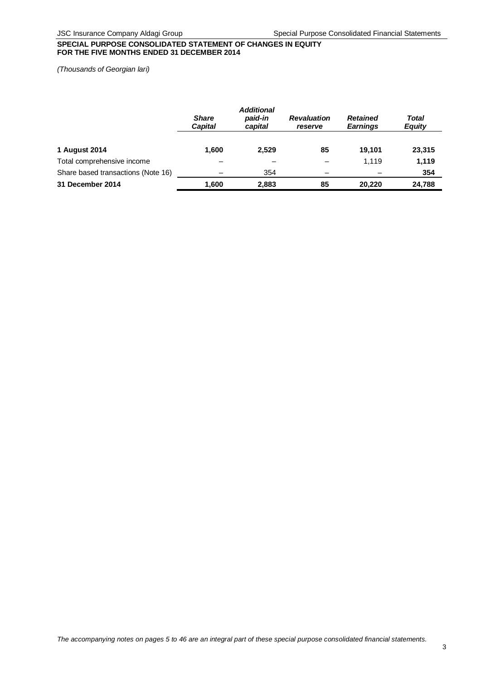## **SPECIAL PURPOSE CONSOLIDATED STATEMENT OF CHANGES IN EQUITY FOR THE FIVE MONTHS ENDED 31 DECEMBER 2014**

*(Thousands of Georgian lari)*

|                                    |                                | <b>Additional</b>  |                               |                                    |                        |
|------------------------------------|--------------------------------|--------------------|-------------------------------|------------------------------------|------------------------|
|                                    | <b>Share</b><br><b>Capital</b> | paid-in<br>capital | <b>Revaluation</b><br>reserve | <b>Retained</b><br><b>Earnings</b> | Total<br><b>Equity</b> |
| 1 August 2014                      | 1.600                          | 2.529              | 85                            | 19.101                             | 23,315                 |
| Total comprehensive income         |                                |                    | -                             | 1.119                              | 1,119                  |
| Share based transactions (Note 16) |                                | 354                | -                             |                                    | 354                    |
| 31 December 2014                   | 1,600                          | 2,883              | 85                            | 20.220                             | 24,788                 |

*The accompanying notes on pages 5 to 46 are an integral part of these special purpose consolidated financial statements.*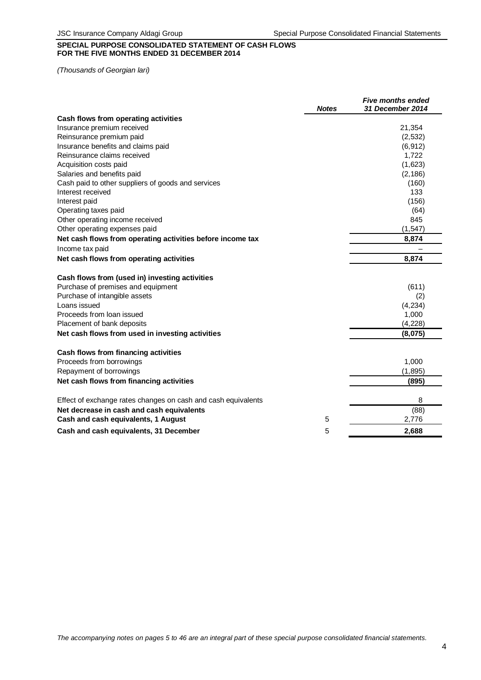# **SPECIAL PURPOSE CONSOLIDATED STATEMENT OF CASH FLOWS FOR THE FIVE MONTHS ENDED 31 DECEMBER 2014**

*(Thousands of Georgian lari)*

|                                                               | <b>Notes</b> | <b>Five months ended</b><br>31 December 2014 |
|---------------------------------------------------------------|--------------|----------------------------------------------|
| Cash flows from operating activities                          |              |                                              |
| Insurance premium received                                    |              | 21,354                                       |
| Reinsurance premium paid                                      |              | (2, 532)                                     |
| Insurance benefits and claims paid                            |              | (6, 912)                                     |
| Reinsurance claims received                                   |              | 1,722                                        |
| Acquisition costs paid                                        |              | (1,623)                                      |
| Salaries and benefits paid                                    |              | (2, 186)                                     |
| Cash paid to other suppliers of goods and services            |              | (160)                                        |
| Interest received                                             |              | 133                                          |
| Interest paid                                                 |              | (156)                                        |
| Operating taxes paid                                          |              | (64)                                         |
| Other operating income received                               |              | 845                                          |
| Other operating expenses paid                                 |              | (1, 547)                                     |
| Net cash flows from operating activities before income tax    |              | 8,874                                        |
| Income tax paid                                               |              |                                              |
| Net cash flows from operating activities                      |              | 8,874                                        |
| Cash flows from (used in) investing activities                |              |                                              |
| Purchase of premises and equipment                            |              | (611)                                        |
| Purchase of intangible assets                                 |              | (2)                                          |
| Loans issued                                                  |              | (4,234)                                      |
| Proceeds from loan issued                                     |              | 1,000                                        |
| Placement of bank deposits                                    |              | (4, 228)                                     |
| Net cash flows from used in investing activities              |              | (8,075)                                      |
| Cash flows from financing activities                          |              |                                              |
| Proceeds from borrowings                                      |              | 1,000                                        |
| Repayment of borrowings                                       |              | (1, 895)                                     |
| Net cash flows from financing activities                      |              | (895)                                        |
|                                                               |              |                                              |
| Effect of exchange rates changes on cash and cash equivalents |              | 8                                            |
| Net decrease in cash and cash equivalents                     |              | (88)                                         |
| Cash and cash equivalents, 1 August                           | 5            | 2,776                                        |
| Cash and cash equivalents, 31 December                        | 5            | 2,688                                        |
|                                                               |              |                                              |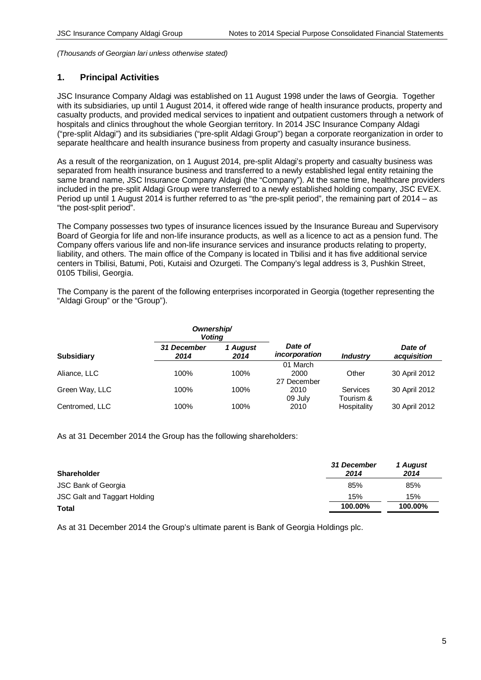## **1. Principal Activities**

JSC Insurance Company Aldagi was established on 11 August 1998 under the laws of Georgia. Together with its subsidiaries, up until 1 August 2014, it offered wide range of health insurance products, property and casualty products, and provided medical services to inpatient and outpatient customers through a network of hospitals and clinics throughout the whole Georgian territory. In 2014 JSC Insurance Company Aldagi ("pre-split Aldagi") and its subsidiaries ("pre-split Aldagi Group") began a corporate reorganization in order to separate healthcare and health insurance business from property and casualty insurance business.

As a result of the reorganization, on 1 August 2014, pre-split Aldagi's property and casualty business was separated from health insurance business and transferred to a newly established legal entity retaining the same brand name, JSC Insurance Company Aldagi (the "Company"). At the same time, healthcare providers included in the pre-split Aldagi Group were transferred to a newly established holding company, JSC EVEX. Period up until 1 August 2014 is further referred to as "the pre-split period", the remaining part of 2014 – as "the post-split period".

The Company possesses two types of insurance licences issued by the Insurance Bureau and Supervisory Board of Georgia for life and non-life insurance products, as well as a licence to act as a pension fund. The Company offers various life and non-life insurance services and insurance products relating to property, liability, and others. The main office of the Company is located in Tbilisi and it has five additional service centers in Tbilisi, Batumi, Poti, Kutaisi and Ozurgeti. The Company's legal address is 3, Pushkin Street, 0105 Tbilisi, Georgia.

The Company is the parent of the following enterprises incorporated in Georgia (together representing the "Aldagi Group" or the "Group").

|                   | Ownership/<br><b>Voting</b> |                  |                                 |                              |                        |
|-------------------|-----------------------------|------------------|---------------------------------|------------------------------|------------------------|
| <b>Subsidiary</b> | 31 December<br>2014         | 1 August<br>2014 | Date of<br>incorporation        | <b>Industry</b>              | Date of<br>acquisition |
| Aliance, LLC      | 100%                        | 100%             | 01 March<br>2000<br>27 December | Other                        | 30 April 2012          |
| Green Way, LLC    | 100%                        | 100%             | 2010<br>09 July                 | <b>Services</b><br>Tourism & | 30 April 2012          |
| Centromed, LLC    | 100%                        | 100%             | 2010                            | Hospitality                  | 30 April 2012          |

As at 31 December 2014 the Group has the following shareholders:

| <b>Shareholder</b>           | 31 December<br>2014 | 1 August<br>2014 |
|------------------------------|---------------------|------------------|
| <b>JSC Bank of Georgia</b>   | 85%                 | 85%              |
| JSC Galt and Taggart Holding | 15%                 | 15%              |
| <b>Total</b>                 | 100.00%             | 100.00%          |

As at 31 December 2014 the Group's ultimate parent is Bank of Georgia Holdings plc.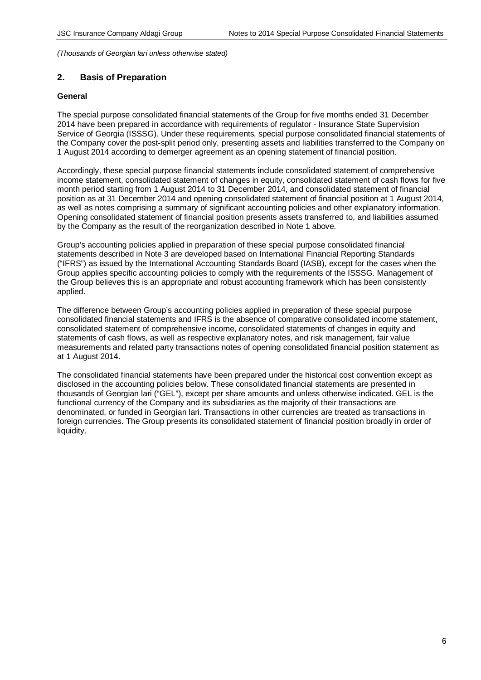# **2. Basis of Preparation**

## **General**

The special purpose consolidated financial statements of the Group for five months ended 31 December 2014 have been prepared in accordance with requirements of regulator - Insurance State Supervision Service of Georgia (ISSSG). Under these requirements, special purpose consolidated financial statements of the Company cover the post-split period only, presenting assets and liabilities transferred to the Company on 1 August 2014 according to demerger agreement as an opening statement of financial position.

Accordingly, these special purpose financial statements include consolidated statement of comprehensive income statement, consolidated statement of changes in equity, consolidated statement of cash flows for five month period starting from 1 August 2014 to 31 December 2014, and consolidated statement of financial position as at 31 December 2014 and opening consolidated statement of financial position at 1 August 2014, as well as notes comprising a summary of significant accounting policies and other explanatory information. Opening consolidated statement of financial position presents assets transferred to, and liabilities assumed by the Company as the result of the reorganization described in Note 1 above.

Group's accounting policies applied in preparation of these special purpose consolidated financial statements described in Note 3 are developed based on International Financial Reporting Standards ("IFRS") as issued by the International Accounting Standards Board (IASB), except for the cases when the Group applies specific accounting policies to comply with the requirements of the ISSSG. Management of the Group believes this is an appropriate and robust accounting framework which has been consistently applied.

The difference between Group's accounting policies applied in preparation of these special purpose consolidated financial statements and IFRS is the absence of comparative consolidated income statement, consolidated statement of comprehensive income, consolidated statements of changes in equity and statements of cash flows, as well as respective explanatory notes, and risk management, fair value measurements and related party transactions notes of opening consolidated financial position statement as at 1 August 2014.

The consolidated financial statements have been prepared under the historical cost convention except as disclosed in the accounting policies below. These consolidated financial statements are presented in thousands of Georgian lari ("GEL"), except per share amounts and unless otherwise indicated. GEL is the functional currency of the Company and its subsidiaries as the majority of their transactions are denominated, or funded in Georgian lari. Transactions in other currencies are treated as transactions in foreign currencies. The Group presents its consolidated statement of financial position broadly in order of liquidity.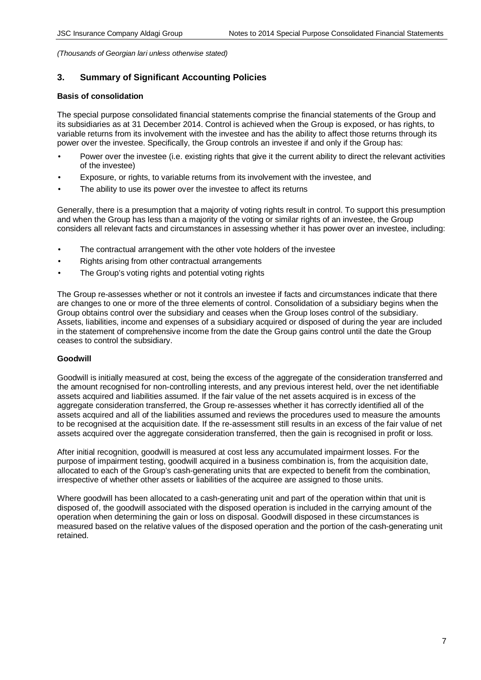# **3. Summary of Significant Accounting Policies**

#### **Basis of consolidation**

The special purpose consolidated financial statements comprise the financial statements of the Group and its subsidiaries as at 31 December 2014. Control is achieved when the Group is exposed, or has rights, to variable returns from its involvement with the investee and has the ability to affect those returns through its power over the investee. Specifically, the Group controls an investee if and only if the Group has:

- Power over the investee (i.e. existing rights that give it the current ability to direct the relevant activities of the investee)
- Exposure, or rights, to variable returns from its involvement with the investee, and
- The ability to use its power over the investee to affect its returns

Generally, there is a presumption that a majority of voting rights result in control. To support this presumption and when the Group has less than a majority of the voting or similar rights of an investee, the Group considers all relevant facts and circumstances in assessing whether it has power over an investee, including:

- The contractual arrangement with the other vote holders of the investee
- Rights arising from other contractual arrangements
- The Group's voting rights and potential voting rights

The Group re-assesses whether or not it controls an investee if facts and circumstances indicate that there are changes to one or more of the three elements of control. Consolidation of a subsidiary begins when the Group obtains control over the subsidiary and ceases when the Group loses control of the subsidiary. Assets, liabilities, income and expenses of a subsidiary acquired or disposed of during the year are included in the statement of comprehensive income from the date the Group gains control until the date the Group ceases to control the subsidiary.

## **Goodwill**

Goodwill is initially measured at cost, being the excess of the aggregate of the consideration transferred and the amount recognised for non-controlling interests, and any previous interest held, over the net identifiable assets acquired and liabilities assumed. If the fair value of the net assets acquired is in excess of the aggregate consideration transferred, the Group re-assesses whether it has correctly identified all of the assets acquired and all of the liabilities assumed and reviews the procedures used to measure the amounts to be recognised at the acquisition date. If the re-assessment still results in an excess of the fair value of net assets acquired over the aggregate consideration transferred, then the gain is recognised in profit or loss.

After initial recognition, goodwill is measured at cost less any accumulated impairment losses. For the purpose of impairment testing, goodwill acquired in a business combination is, from the acquisition date, allocated to each of the Group's cash-generating units that are expected to benefit from the combination, irrespective of whether other assets or liabilities of the acquiree are assigned to those units.

Where goodwill has been allocated to a cash-generating unit and part of the operation within that unit is disposed of, the goodwill associated with the disposed operation is included in the carrying amount of the operation when determining the gain or loss on disposal. Goodwill disposed in these circumstances is measured based on the relative values of the disposed operation and the portion of the cash-generating unit retained.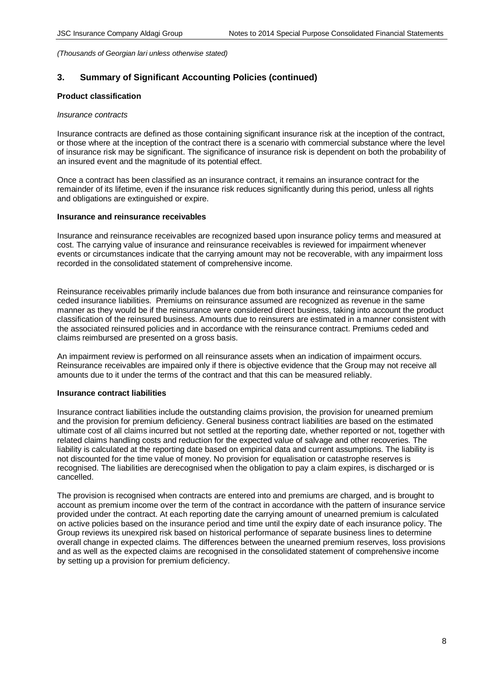# **3. Summary of Significant Accounting Policies (continued)**

## **Product classification**

#### *Insurance contracts*

Insurance contracts are defined as those containing significant insurance risk at the inception of the contract, or those where at the inception of the contract there is a scenario with commercial substance where the level of insurance risk may be significant. The significance of insurance risk is dependent on both the probability of an insured event and the magnitude of its potential effect.

Once a contract has been classified as an insurance contract, it remains an insurance contract for the remainder of its lifetime, even if the insurance risk reduces significantly during this period, unless all rights and obligations are extinguished or expire.

#### **Insurance and reinsurance receivables**

Insurance and reinsurance receivables are recognized based upon insurance policy terms and measured at cost. The carrying value of insurance and reinsurance receivables is reviewed for impairment whenever events or circumstances indicate that the carrying amount may not be recoverable, with any impairment loss recorded in the consolidated statement of comprehensive income.

Reinsurance receivables primarily include balances due from both insurance and reinsurance companies for ceded insurance liabilities. Premiums on reinsurance assumed are recognized as revenue in the same manner as they would be if the reinsurance were considered direct business, taking into account the product classification of the reinsured business. Amounts due to reinsurers are estimated in a manner consistent with the associated reinsured policies and in accordance with the reinsurance contract. Premiums ceded and claims reimbursed are presented on a gross basis.

An impairment review is performed on all reinsurance assets when an indication of impairment occurs. Reinsurance receivables are impaired only if there is objective evidence that the Group may not receive all amounts due to it under the terms of the contract and that this can be measured reliably.

## **Insurance contract liabilities**

Insurance contract liabilities include the outstanding claims provision, the provision for unearned premium and the provision for premium deficiency. General business contract liabilities are based on the estimated ultimate cost of all claims incurred but not settled at the reporting date, whether reported or not, together with related claims handling costs and reduction for the expected value of salvage and other recoveries. The liability is calculated at the reporting date based on empirical data and current assumptions. The liability is not discounted for the time value of money. No provision for equalisation or catastrophe reserves is recognised. The liabilities are derecognised when the obligation to pay a claim expires, is discharged or is cancelled.

The provision is recognised when contracts are entered into and premiums are charged, and is brought to account as premium income over the term of the contract in accordance with the pattern of insurance service provided under the contract. At each reporting date the carrying amount of unearned premium is calculated on active policies based on the insurance period and time until the expiry date of each insurance policy. The Group reviews its unexpired risk based on historical performance of separate business lines to determine overall change in expected claims. The differences between the unearned premium reserves, loss provisions and as well as the expected claims are recognised in the consolidated statement of comprehensive income by setting up a provision for premium deficiency.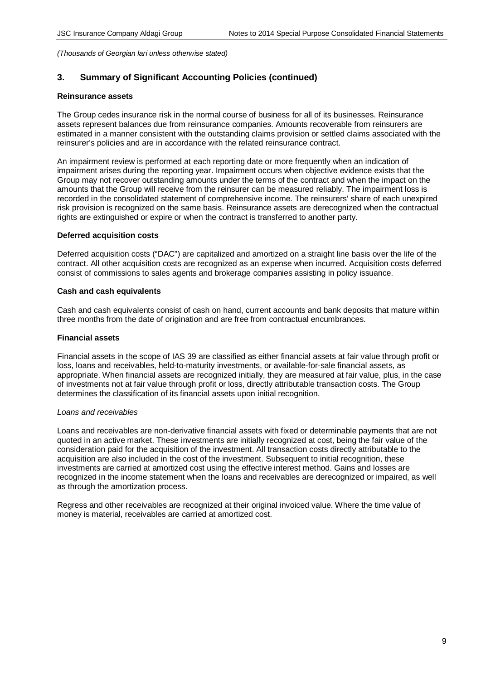# **3. Summary of Significant Accounting Policies (continued)**

#### **Reinsurance assets**

The Group cedes insurance risk in the normal course of business for all of its businesses. Reinsurance assets represent balances due from reinsurance companies. Amounts recoverable from reinsurers are estimated in a manner consistent with the outstanding claims provision or settled claims associated with the reinsurer's policies and are in accordance with the related reinsurance contract.

An impairment review is performed at each reporting date or more frequently when an indication of impairment arises during the reporting year. Impairment occurs when objective evidence exists that the Group may not recover outstanding amounts under the terms of the contract and when the impact on the amounts that the Group will receive from the reinsurer can be measured reliably. The impairment loss is recorded in the consolidated statement of comprehensive income. The reinsurers' share of each unexpired risk provision is recognized on the same basis. Reinsurance assets are derecognized when the contractual rights are extinguished or expire or when the contract is transferred to another party.

#### **Deferred acquisition costs**

Deferred acquisition costs ("DAC") are capitalized and amortized on a straight line basis over the life of the contract. All other acquisition costs are recognized as an expense when incurred. Acquisition costs deferred consist of commissions to sales agents and brokerage companies assisting in policy issuance.

#### **Cash and cash equivalents**

Cash and cash equivalents consist of cash on hand, current accounts and bank deposits that mature within three months from the date of origination and are free from contractual encumbrances.

#### **Financial assets**

Financial assets in the scope of IAS 39 are classified as either financial assets at fair value through profit or loss, loans and receivables, held-to-maturity investments, or available-for-sale financial assets, as appropriate. When financial assets are recognized initially, they are measured at fair value, plus, in the case of investments not at fair value through profit or loss, directly attributable transaction costs. The Group determines the classification of its financial assets upon initial recognition.

## *Loans and receivables*

Loans and receivables are non-derivative financial assets with fixed or determinable payments that are not quoted in an active market. These investments are initially recognized at cost, being the fair value of the consideration paid for the acquisition of the investment. All transaction costs directly attributable to the acquisition are also included in the cost of the investment. Subsequent to initial recognition, these investments are carried at amortized cost using the effective interest method. Gains and losses are recognized in the income statement when the loans and receivables are derecognized or impaired, as well as through the amortization process.

Regress and other receivables are recognized at their original invoiced value. Where the time value of money is material, receivables are carried at amortized cost.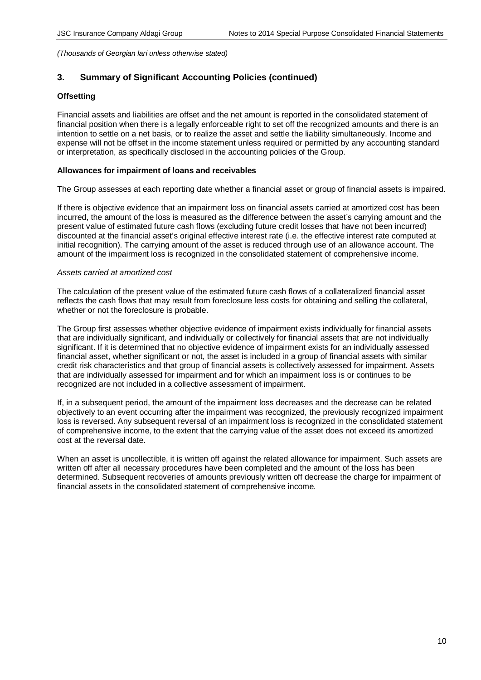# **3. Summary of Significant Accounting Policies (continued)**

## **Offsetting**

Financial assets and liabilities are offset and the net amount is reported in the consolidated statement of financial position when there is a legally enforceable right to set off the recognized amounts and there is an intention to settle on a net basis, or to realize the asset and settle the liability simultaneously. Income and expense will not be offset in the income statement unless required or permitted by any accounting standard or interpretation, as specifically disclosed in the accounting policies of the Group.

## **Allowances for impairment of loans and receivables**

The Group assesses at each reporting date whether a financial asset or group of financial assets is impaired.

If there is objective evidence that an impairment loss on financial assets carried at amortized cost has been incurred, the amount of the loss is measured as the difference between the asset's carrying amount and the present value of estimated future cash flows (excluding future credit losses that have not been incurred) discounted at the financial asset's original effective interest rate (i.e. the effective interest rate computed at initial recognition). The carrying amount of the asset is reduced through use of an allowance account. The amount of the impairment loss is recognized in the consolidated statement of comprehensive income.

## *Assets carried at amortized cost*

The calculation of the present value of the estimated future cash flows of a collateralized financial asset reflects the cash flows that may result from foreclosure less costs for obtaining and selling the collateral, whether or not the foreclosure is probable.

The Group first assesses whether objective evidence of impairment exists individually for financial assets that are individually significant, and individually or collectively for financial assets that are not individually significant. If it is determined that no objective evidence of impairment exists for an individually assessed financial asset, whether significant or not, the asset is included in a group of financial assets with similar credit risk characteristics and that group of financial assets is collectively assessed for impairment. Assets that are individually assessed for impairment and for which an impairment loss is or continues to be recognized are not included in a collective assessment of impairment.

If, in a subsequent period, the amount of the impairment loss decreases and the decrease can be related objectively to an event occurring after the impairment was recognized, the previously recognized impairment loss is reversed. Any subsequent reversal of an impairment loss is recognized in the consolidated statement of comprehensive income, to the extent that the carrying value of the asset does not exceed its amortized cost at the reversal date.

When an asset is uncollectible, it is written off against the related allowance for impairment. Such assets are written off after all necessary procedures have been completed and the amount of the loss has been determined. Subsequent recoveries of amounts previously written off decrease the charge for impairment of financial assets in the consolidated statement of comprehensive income.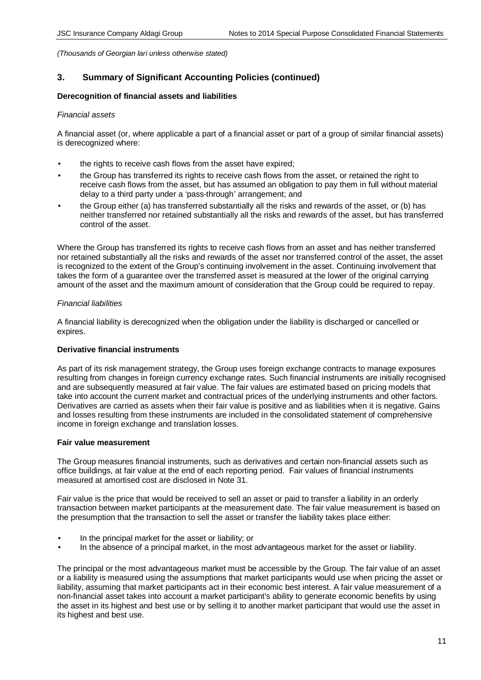# **3. Summary of Significant Accounting Policies (continued)**

## **Derecognition of financial assets and liabilities**

#### *Financial assets*

A financial asset (or, where applicable a part of a financial asset or part of a group of similar financial assets) is derecognized where:

- the rights to receive cash flows from the asset have expired;
- the Group has transferred its rights to receive cash flows from the asset, or retained the right to receive cash flows from the asset, but has assumed an obligation to pay them in full without material delay to a third party under a 'pass-through' arrangement; and
- the Group either (a) has transferred substantially all the risks and rewards of the asset, or (b) has neither transferred nor retained substantially all the risks and rewards of the asset, but has transferred control of the asset.

Where the Group has transferred its rights to receive cash flows from an asset and has neither transferred nor retained substantially all the risks and rewards of the asset nor transferred control of the asset, the asset is recognized to the extent of the Group's continuing involvement in the asset. Continuing involvement that takes the form of a guarantee over the transferred asset is measured at the lower of the original carrying amount of the asset and the maximum amount of consideration that the Group could be required to repay.

## *Financial liabilities*

A financial liability is derecognized when the obligation under the liability is discharged or cancelled or expires.

## **Derivative financial instruments**

As part of its risk management strategy, the Group uses foreign exchange contracts to manage exposures resulting from changes in foreign currency exchange rates. Such financial instruments are initially recognised and are subsequently measured at fair value. The fair values are estimated based on pricing models that take into account the current market and contractual prices of the underlying instruments and other factors. Derivatives are carried as assets when their fair value is positive and as liabilities when it is negative. Gains and losses resulting from these instruments are included in the consolidated statement of comprehensive income in foreign exchange and translation losses.

#### **Fair value measurement**

The Group measures financial instruments, such as derivatives and certain non-financial assets such as office buildings, at fair value at the end of each reporting period. Fair values of financial instruments measured at amortised cost are disclosed in Note 31.

Fair value is the price that would be received to sell an asset or paid to transfer a liability in an orderly transaction between market participants at the measurement date. The fair value measurement is based on the presumption that the transaction to sell the asset or transfer the liability takes place either:

- In the principal market for the asset or liability; or
- In the absence of a principal market, in the most advantageous market for the asset or liability.

The principal or the most advantageous market must be accessible by the Group. The fair value of an asset or a liability is measured using the assumptions that market participants would use when pricing the asset or liability, assuming that market participants act in their economic best interest. A fair value measurement of a non-financial asset takes into account a market participant's ability to generate economic benefits by using the asset in its highest and best use or by selling it to another market participant that would use the asset in its highest and best use.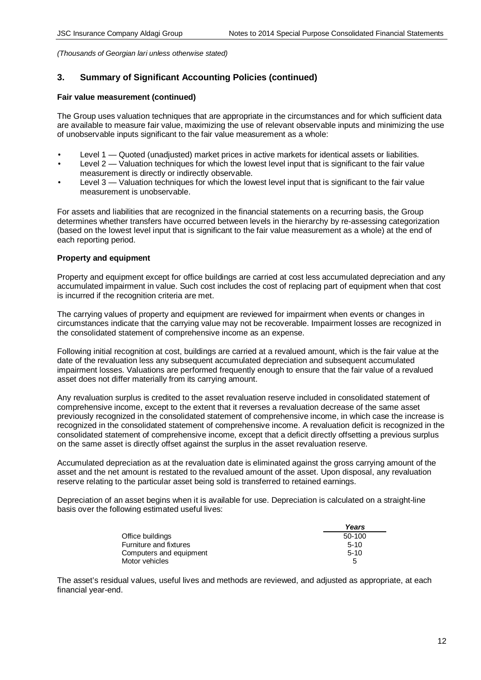# **3. Summary of Significant Accounting Policies (continued)**

## **Fair value measurement (continued)**

The Group uses valuation techniques that are appropriate in the circumstances and for which sufficient data are available to measure fair value, maximizing the use of relevant observable inputs and minimizing the use of unobservable inputs significant to the fair value measurement as a whole:

- Level 1 Quoted (unadjusted) market prices in active markets for identical assets or liabilities.
- Level 2 Valuation techniques for which the lowest level input that is significant to the fair value measurement is directly or indirectly observable.
- Level 3 Valuation techniques for which the lowest level input that is significant to the fair value measurement is unobservable.

For assets and liabilities that are recognized in the financial statements on a recurring basis, the Group determines whether transfers have occurred between levels in the hierarchy by re-assessing categorization (based on the lowest level input that is significant to the fair value measurement as a whole) at the end of each reporting period.

## **Property and equipment**

Property and equipment except for office buildings are carried at cost less accumulated depreciation and any accumulated impairment in value. Such cost includes the cost of replacing part of equipment when that cost is incurred if the recognition criteria are met.

The carrying values of property and equipment are reviewed for impairment when events or changes in circumstances indicate that the carrying value may not be recoverable. Impairment losses are recognized in the consolidated statement of comprehensive income as an expense.

Following initial recognition at cost, buildings are carried at a revalued amount, which is the fair value at the date of the revaluation less any subsequent accumulated depreciation and subsequent accumulated impairment losses. Valuations are performed frequently enough to ensure that the fair value of a revalued asset does not differ materially from its carrying amount.

Any revaluation surplus is credited to the asset revaluation reserve included in consolidated statement of comprehensive income, except to the extent that it reverses a revaluation decrease of the same asset previously recognized in the consolidated statement of comprehensive income, in which case the increase is recognized in the consolidated statement of comprehensive income. A revaluation deficit is recognized in the consolidated statement of comprehensive income, except that a deficit directly offsetting a previous surplus on the same asset is directly offset against the surplus in the asset revaluation reserve.

Accumulated depreciation as at the revaluation date is eliminated against the gross carrying amount of the asset and the net amount is restated to the revalued amount of the asset. Upon disposal, any revaluation reserve relating to the particular asset being sold is transferred to retained earnings.

Depreciation of an asset begins when it is available for use. Depreciation is calculated on a straight-line basis over the following estimated useful lives:

|                         | Years  |
|-------------------------|--------|
| Office buildings        | 50-100 |
| Furniture and fixtures  | $5-10$ |
| Computers and equipment | $5-10$ |
| Motor vehicles          | 5      |

The asset's residual values, useful lives and methods are reviewed, and adjusted as appropriate, at each financial year-end.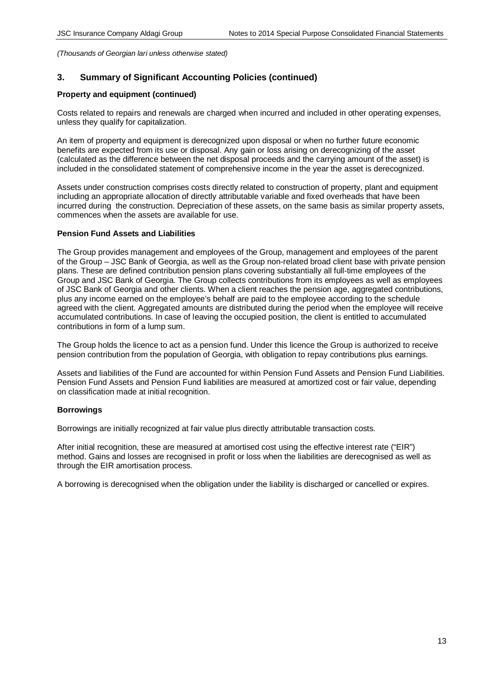# **3. Summary of Significant Accounting Policies (continued)**

## **Property and equipment (continued)**

Costs related to repairs and renewals are charged when incurred and included in other operating expenses, unless they qualify for capitalization.

An item of property and equipment is derecognized upon disposal or when no further future economic benefits are expected from its use or disposal. Any gain or loss arising on derecognizing of the asset (calculated as the difference between the net disposal proceeds and the carrying amount of the asset) is included in the consolidated statement of comprehensive income in the year the asset is derecognized.

Assets under construction comprises costs directly related to construction of property, plant and equipment including an appropriate allocation of directly attributable variable and fixed overheads that have been incurred during the construction. Depreciation of these assets, on the same basis as similar property assets, commences when the assets are available for use.

## **Pension Fund Assets and Liabilities**

The Group provides management and employees of the Group, management and employees of the parent of the Group – JSC Bank of Georgia, as well as the Group non-related broad client base with private pension plans. These are defined contribution pension plans covering substantially all full-time employees of the Group and JSC Bank of Georgia. The Group collects contributions from its employees as well as employees of JSC Bank of Georgia and other clients. When a client reaches the pension age, aggregated contributions, plus any income earned on the employee's behalf are paid to the employee according to the schedule agreed with the client. Aggregated amounts are distributed during the period when the employee will receive accumulated contributions. In case of leaving the occupied position, the client is entitled to accumulated contributions in form of a lump sum.

The Group holds the licence to act as a pension fund. Under this licence the Group is authorized to receive pension contribution from the population of Georgia, with obligation to repay contributions plus earnings.

Assets and liabilities of the Fund are accounted for within Pension Fund Assets and Pension Fund Liabilities. Pension Fund Assets and Pension Fund liabilities are measured at amortized cost or fair value, depending on classification made at initial recognition.

## **Borrowings**

Borrowings are initially recognized at fair value plus directly attributable transaction costs.

After initial recognition, these are measured at amortised cost using the effective interest rate ("EIR") method. Gains and losses are recognised in profit or loss when the liabilities are derecognised as well as through the EIR amortisation process.

A borrowing is derecognised when the obligation under the liability is discharged or cancelled or expires.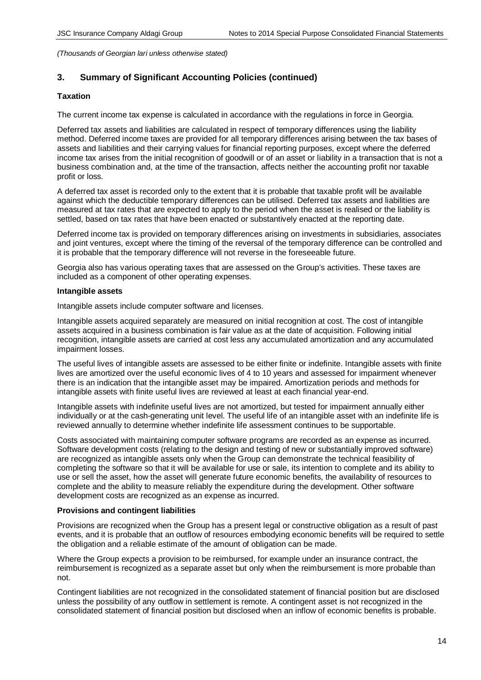# **3. Summary of Significant Accounting Policies (continued)**

## **Taxation**

The current income tax expense is calculated in accordance with the regulations in force in Georgia.

Deferred tax assets and liabilities are calculated in respect of temporary differences using the liability method. Deferred income taxes are provided for all temporary differences arising between the tax bases of assets and liabilities and their carrying values for financial reporting purposes, except where the deferred income tax arises from the initial recognition of goodwill or of an asset or liability in a transaction that is not a business combination and, at the time of the transaction, affects neither the accounting profit nor taxable profit or loss.

A deferred tax asset is recorded only to the extent that it is probable that taxable profit will be available against which the deductible temporary differences can be utilised. Deferred tax assets and liabilities are measured at tax rates that are expected to apply to the period when the asset is realised or the liability is settled, based on tax rates that have been enacted or substantively enacted at the reporting date.

Deferred income tax is provided on temporary differences arising on investments in subsidiaries, associates and joint ventures, except where the timing of the reversal of the temporary difference can be controlled and it is probable that the temporary difference will not reverse in the foreseeable future.

Georgia also has various operating taxes that are assessed on the Group's activities. These taxes are included as a component of other operating expenses.

#### **Intangible assets**

Intangible assets include computer software and licenses.

Intangible assets acquired separately are measured on initial recognition at cost. The cost of intangible assets acquired in a business combination is fair value as at the date of acquisition. Following initial recognition, intangible assets are carried at cost less any accumulated amortization and any accumulated impairment losses.

The useful lives of intangible assets are assessed to be either finite or indefinite. Intangible assets with finite lives are amortized over the useful economic lives of 4 to 10 years and assessed for impairment whenever there is an indication that the intangible asset may be impaired. Amortization periods and methods for intangible assets with finite useful lives are reviewed at least at each financial year-end.

Intangible assets with indefinite useful lives are not amortized, but tested for impairment annually either individually or at the cash-generating unit level. The useful life of an intangible asset with an indefinite life is reviewed annually to determine whether indefinite life assessment continues to be supportable.

Costs associated with maintaining computer software programs are recorded as an expense as incurred. Software development costs (relating to the design and testing of new or substantially improved software) are recognized as intangible assets only when the Group can demonstrate the technical feasibility of completing the software so that it will be available for use or sale, its intention to complete and its ability to use or sell the asset, how the asset will generate future economic benefits, the availability of resources to complete and the ability to measure reliably the expenditure during the development. Other software development costs are recognized as an expense as incurred.

## **Provisions and contingent liabilities**

Provisions are recognized when the Group has a present legal or constructive obligation as a result of past events, and it is probable that an outflow of resources embodying economic benefits will be required to settle the obligation and a reliable estimate of the amount of obligation can be made.

Where the Group expects a provision to be reimbursed, for example under an insurance contract, the reimbursement is recognized as a separate asset but only when the reimbursement is more probable than not.

Contingent liabilities are not recognized in the consolidated statement of financial position but are disclosed unless the possibility of any outflow in settlement is remote. A contingent asset is not recognized in the consolidated statement of financial position but disclosed when an inflow of economic benefits is probable.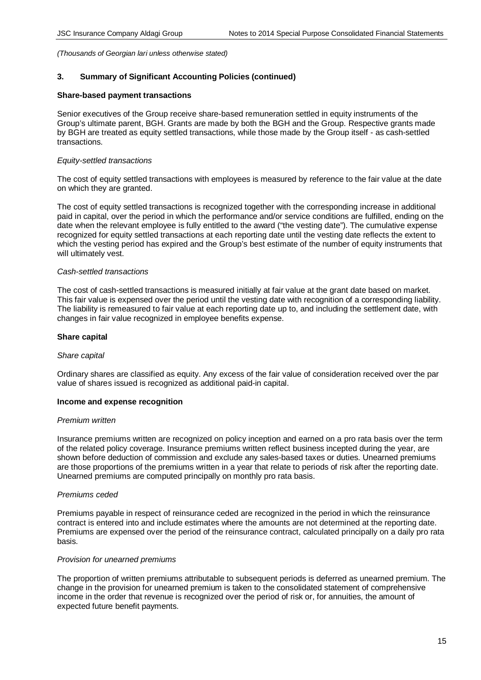## **3. Summary of Significant Accounting Policies (continued)**

#### **Share-based payment transactions**

Senior executives of the Group receive share-based remuneration settled in equity instruments of the Group's ultimate parent, BGH. Grants are made by both the BGH and the Group. Respective grants made by BGH are treated as equity settled transactions, while those made by the Group itself - as cash-settled transactions.

## *Equity-settled transactions*

The cost of equity settled transactions with employees is measured by reference to the fair value at the date on which they are granted.

The cost of equity settled transactions is recognized together with the corresponding increase in additional paid in capital, over the period in which the performance and/or service conditions are fulfilled, ending on the date when the relevant employee is fully entitled to the award ("the vesting date"). The cumulative expense recognized for equity settled transactions at each reporting date until the vesting date reflects the extent to which the vesting period has expired and the Group's best estimate of the number of equity instruments that will ultimately vest.

#### *Cash-settled transactions*

The cost of cash-settled transactions is measured initially at fair value at the grant date based on market. This fair value is expensed over the period until the vesting date with recognition of a corresponding liability. The liability is remeasured to fair value at each reporting date up to, and including the settlement date, with changes in fair value recognized in employee benefits expense.

#### **Share capital**

#### *Share capital*

Ordinary shares are classified as equity. Any excess of the fair value of consideration received over the par value of shares issued is recognized as additional paid-in capital.

## **Income and expense recognition**

## *Premium written*

Insurance premiums written are recognized on policy inception and earned on a pro rata basis over the term of the related policy coverage. Insurance premiums written reflect business incepted during the year, are shown before deduction of commission and exclude any sales-based taxes or duties. Unearned premiums are those proportions of the premiums written in a year that relate to periods of risk after the reporting date. Unearned premiums are computed principally on monthly pro rata basis.

## *Premiums ceded*

Premiums payable in respect of reinsurance ceded are recognized in the period in which the reinsurance contract is entered into and include estimates where the amounts are not determined at the reporting date. Premiums are expensed over the period of the reinsurance contract, calculated principally on a daily pro rata basis.

#### *Provision for unearned premiums*

The proportion of written premiums attributable to subsequent periods is deferred as unearned premium. The change in the provision for unearned premium is taken to the consolidated statement of comprehensive income in the order that revenue is recognized over the period of risk or, for annuities, the amount of expected future benefit payments.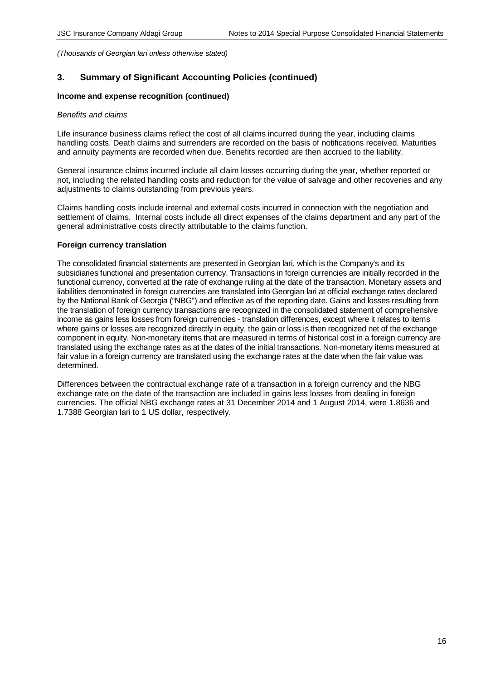# **3. Summary of Significant Accounting Policies (continued)**

#### **Income and expense recognition (continued)**

#### *Benefits and claims*

Life insurance business claims reflect the cost of all claims incurred during the year, including claims handling costs. Death claims and surrenders are recorded on the basis of notifications received. Maturities and annuity payments are recorded when due. Benefits recorded are then accrued to the liability.

General insurance claims incurred include all claim losses occurring during the year, whether reported or not, including the related handling costs and reduction for the value of salvage and other recoveries and any adjustments to claims outstanding from previous years.

Claims handling costs include internal and external costs incurred in connection with the negotiation and settlement of claims. Internal costs include all direct expenses of the claims department and any part of the general administrative costs directly attributable to the claims function.

## **Foreign currency translation**

The consolidated financial statements are presented in Georgian lari, which is the Company's and its subsidiaries functional and presentation currency. Transactions in foreign currencies are initially recorded in the functional currency, converted at the rate of exchange ruling at the date of the transaction. Monetary assets and liabilities denominated in foreign currencies are translated into Georgian lari at official exchange rates declared by the National Bank of Georgia ("NBG") and effective as of the reporting date. Gains and losses resulting from the translation of foreign currency transactions are recognized in the consolidated statement of comprehensive income as gains less losses from foreign currencies - translation differences, except where it relates to items where gains or losses are recognized directly in equity, the gain or loss is then recognized net of the exchange component in equity. Non-monetary items that are measured in terms of historical cost in a foreign currency are translated using the exchange rates as at the dates of the initial transactions. Non-monetary items measured at fair value in a foreign currency are translated using the exchange rates at the date when the fair value was determined.

Differences between the contractual exchange rate of a transaction in a foreign currency and the NBG exchange rate on the date of the transaction are included in gains less losses from dealing in foreign currencies. The official NBG exchange rates at 31 December 2014 and 1 August 2014, were 1.8636 and 1.7388 Georgian lari to 1 US dollar, respectively.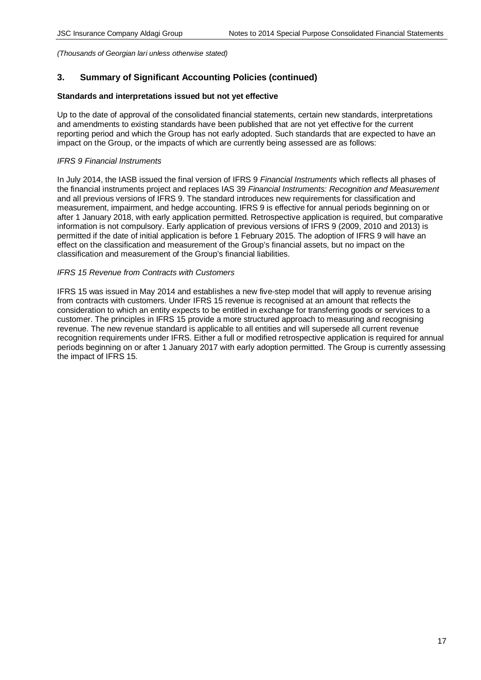# **3. Summary of Significant Accounting Policies (continued)**

#### **Standards and interpretations issued but not yet effective**

Up to the date of approval of the consolidated financial statements, certain new standards, interpretations and amendments to existing standards have been published that are not yet effective for the current reporting period and which the Group has not early adopted. Such standards that are expected to have an impact on the Group, or the impacts of which are currently being assessed are as follows:

#### *IFRS 9 Financial Instruments*

In July 2014, the IASB issued the final version of IFRS 9 *Financial Instruments* which reflects all phases of the financial instruments project and replaces IAS 39 *Financial Instruments: Recognition and Measurement* and all previous versions of IFRS 9. The standard introduces new requirements for classification and measurement, impairment, and hedge accounting. IFRS 9 is effective for annual periods beginning on or after 1 January 2018, with early application permitted. Retrospective application is required, but comparative information is not compulsory. Early application of previous versions of IFRS 9 (2009, 2010 and 2013) is permitted if the date of initial application is before 1 February 2015. The adoption of IFRS 9 will have an effect on the classification and measurement of the Group's financial assets, but no impact on the classification and measurement of the Group's financial liabilities.

## *IFRS 15 Revenue from Contracts with Customers*

IFRS 15 was issued in May 2014 and establishes a new five-step model that will apply to revenue arising from contracts with customers. Under IFRS 15 revenue is recognised at an amount that reflects the consideration to which an entity expects to be entitled in exchange for transferring goods or services to a customer. The principles in IFRS 15 provide a more structured approach to measuring and recognising revenue. The new revenue standard is applicable to all entities and will supersede all current revenue recognition requirements under IFRS. Either a full or modified retrospective application is required for annual periods beginning on or after 1 January 2017 with early adoption permitted. The Group is currently assessing the impact of IFRS 15.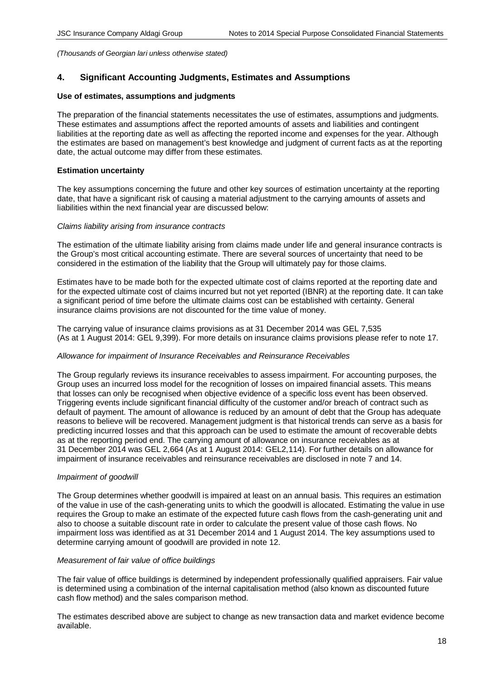# **4. Significant Accounting Judgments, Estimates and Assumptions**

#### **Use of estimates, assumptions and judgments**

The preparation of the financial statements necessitates the use of estimates, assumptions and judgments. These estimates and assumptions affect the reported amounts of assets and liabilities and contingent liabilities at the reporting date as well as affecting the reported income and expenses for the year. Although the estimates are based on management's best knowledge and judgment of current facts as at the reporting date, the actual outcome may differ from these estimates.

## **Estimation uncertainty**

The key assumptions concerning the future and other key sources of estimation uncertainty at the reporting date, that have a significant risk of causing a material adjustment to the carrying amounts of assets and liabilities within the next financial year are discussed below:

#### *Claims liability arising from insurance contracts*

The estimation of the ultimate liability arising from claims made under life and general insurance contracts is the Group's most critical accounting estimate. There are several sources of uncertainty that need to be considered in the estimation of the liability that the Group will ultimately pay for those claims.

Estimates have to be made both for the expected ultimate cost of claims reported at the reporting date and for the expected ultimate cost of claims incurred but not yet reported (IBNR) at the reporting date. It can take a significant period of time before the ultimate claims cost can be established with certainty. General insurance claims provisions are not discounted for the time value of money.

The carrying value of insurance claims provisions as at 31 December 2014 was GEL 7,535 (As at 1 August 2014: GEL 9,399). For more details on insurance claims provisions please refer to note 17.

## *Allowance for impairment of Insurance Receivables and Reinsurance Receivables*

The Group regularly reviews its insurance receivables to assess impairment. For accounting purposes, the Group uses an incurred loss model for the recognition of losses on impaired financial assets. This means that losses can only be recognised when objective evidence of a specific loss event has been observed. Triggering events include significant financial difficulty of the customer and/or breach of contract such as default of payment. The amount of allowance is reduced by an amount of debt that the Group has adequate reasons to believe will be recovered. Management judgment is that historical trends can serve as a basis for predicting incurred losses and that this approach can be used to estimate the amount of recoverable debts as at the reporting period end. The carrying amount of allowance on insurance receivables as at 31 December 2014 was GEL 2,664 (As at 1 August 2014: GEL2,114). For further details on allowance for impairment of insurance receivables and reinsurance receivables are disclosed in note 7 and 14.

## *Impairment of goodwill*

The Group determines whether goodwill is impaired at least on an annual basis. This requires an estimation of the value in use of the cash-generating units to which the goodwill is allocated. Estimating the value in use requires the Group to make an estimate of the expected future cash flows from the cash-generating unit and also to choose a suitable discount rate in order to calculate the present value of those cash flows. No impairment loss was identified as at 31 December 2014 and 1 August 2014. The key assumptions used to determine carrying amount of goodwill are provided in note 12.

#### *Measurement of fair value of office buildings*

The fair value of office buildings is determined by independent professionally qualified appraisers. Fair value is determined using a combination of the internal capitalisation method (also known as discounted future cash flow method) and the sales comparison method.

The estimates described above are subject to change as new transaction data and market evidence become available.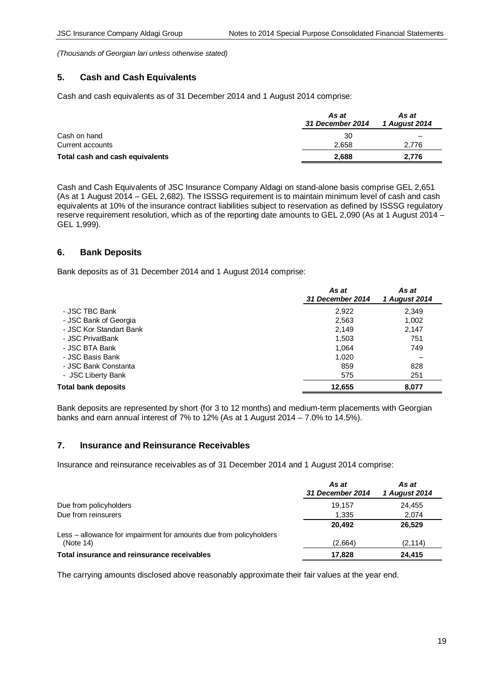# **5. Cash and Cash Equivalents**

Cash and cash equivalents as of 31 December 2014 and 1 August 2014 comprise:

|                                 | As at<br>31 December 2014 | As at<br>1 August 2014 |
|---------------------------------|---------------------------|------------------------|
| Cash on hand                    | 30                        | -                      |
| Current accounts                | 2.658                     | 2.776                  |
| Total cash and cash equivalents | 2.688                     | 2.776                  |

Cash and Cash Equivalents of JSC Insurance Company Aldagi on stand-alone basis comprise GEL 2,651 (As at 1 August 2014 – GEL 2,682). The ISSSG requirement is to maintain minimum level of cash and cash equivalents at 10% of the insurance contract liabilities subject to reservation as defined by ISSSG regulatory reserve requirement resolution, which as of the reporting date amounts to GEL 2,090 (As at 1 August 2014 – GEL 1,999).

## **6. Bank Deposits**

Bank deposits as of 31 December 2014 and 1 August 2014 comprise:

|                         | As at<br>31 December 2014 | As at<br>1 August 2014 |
|-------------------------|---------------------------|------------------------|
| - JSC TBC Bank          | 2,922                     | 2,349                  |
| - JSC Bank of Georgia   | 2,563                     | 1,002                  |
| - JSC Kor Standart Bank | 2,149                     | 2,147                  |
| - JSC PrivatBank        | 1,503                     | 751                    |
| - JSC BTA Bank          | 1.064                     | 749                    |
| - JSC Basis Bank        | 1.020                     |                        |
| - JSC Bank Constanta    | 859                       | 828                    |
| - JSC Liberty Bank      | 575                       | 251                    |
| Total bank deposits     | 12,655                    | 8,077                  |

Bank deposits are represented by short (for 3 to 12 months) and medium-term placements with Georgian banks and earn annual interest of 7% to 12% (As at 1 August 2014 – 7.0% to 14.5%).

## **7. Insurance and Reinsurance Receivables**

Insurance and reinsurance receivables as of 31 December 2014 and 1 August 2014 comprise:

|                                                                    | As at<br>31 December 2014 | As at<br>1 August 2014 |
|--------------------------------------------------------------------|---------------------------|------------------------|
| Due from policyholders                                             | 19.157                    | 24.455                 |
| Due from reinsurers                                                | 1,335                     | 2.074                  |
|                                                                    | 20.492                    | 26.529                 |
| Less – allowance for impairment for amounts due from policyholders |                           |                        |
| (Note 14)                                                          | (2,664)                   | (2, 114)               |
| Total insurance and reinsurance receivables                        | 17.828                    | 24,415                 |

The carrying amounts disclosed above reasonably approximate their fair values at the year end.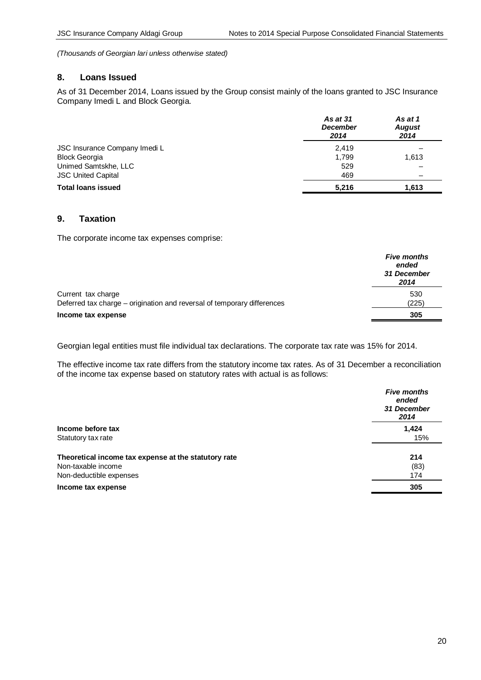## **8. Loans Issued**

As of 31 December 2014, Loans issued by the Group consist mainly of the loans granted to JSC Insurance Company Imedi L and Block Georgia.

|                               | <b>As at 31</b><br><b>December</b><br>2014 | As at 1<br><b>August</b><br>2014 |
|-------------------------------|--------------------------------------------|----------------------------------|
| JSC Insurance Company Imedi L | 2,419                                      |                                  |
| <b>Block Georgia</b>          | 1,799                                      | 1,613                            |
| Unimed Samtskhe, LLC          | 529                                        |                                  |
| <b>JSC United Capital</b>     | 469                                        |                                  |
| <b>Total loans issued</b>     | 5,216                                      | 1,613                            |

# **9. Taxation**

The corporate income tax expenses comprise:

|                                                                         | <b>Five months</b><br>ended<br>31 December<br>2014 |
|-------------------------------------------------------------------------|----------------------------------------------------|
| Current tax charge                                                      | 530                                                |
| Deferred tax charge – origination and reversal of temporary differences | (225)                                              |
| Income tax expense                                                      | 305                                                |

Georgian legal entities must file individual tax declarations. The corporate tax rate was 15% for 2014.

The effective income tax rate differs from the statutory income tax rates. As of 31 December a reconciliation of the income tax expense based on statutory rates with actual is as follows:

|                                                      | <b>Five months</b><br>ended<br>31 December<br>2014 |
|------------------------------------------------------|----------------------------------------------------|
| Income before tax                                    | 1,424                                              |
| Statutory tax rate                                   | 15%                                                |
| Theoretical income tax expense at the statutory rate | 214                                                |
| Non-taxable income                                   | (83)                                               |
| Non-deductible expenses                              | 174                                                |
| Income tax expense                                   | 305                                                |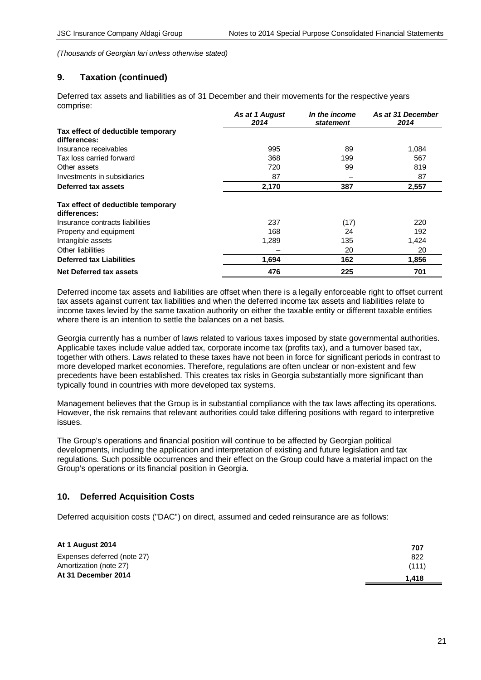# **9. Taxation (continued)**

Deferred tax assets and liabilities as of 31 December and their movements for the respective years comprise:

|                                                    | As at 1 August<br>2014 | In the income<br><b>statement</b> | As at 31 December<br>2014 |
|----------------------------------------------------|------------------------|-----------------------------------|---------------------------|
| Tax effect of deductible temporary<br>differences: |                        |                                   |                           |
| Insurance receivables                              | 995                    | 89                                | 1,084                     |
| Tax loss carried forward                           | 368                    | 199                               | 567                       |
| Other assets                                       | 720                    | 99                                | 819                       |
| Investments in subsidiaries                        | 87                     |                                   | 87                        |
| Deferred tax assets                                | 2,170                  | 387                               | 2,557                     |
| Tax effect of deductible temporary<br>differences: |                        |                                   |                           |
| Insurance contracts liabilities                    | 237                    | (17)                              | 220                       |
| Property and equipment                             | 168                    | 24                                | 192                       |
| Intangible assets                                  | 1,289                  | 135                               | 1,424                     |
| Other liabilities                                  |                        | 20                                | 20                        |
| <b>Deferred tax Liabilities</b>                    | 1,694                  | 162                               | 1,856                     |
| Net Deferred tax assets                            | 476                    | 225                               | 701                       |

Deferred income tax assets and liabilities are offset when there is a legally enforceable right to offset current tax assets against current tax liabilities and when the deferred income tax assets and liabilities relate to income taxes levied by the same taxation authority on either the taxable entity or different taxable entities where there is an intention to settle the balances on a net basis.

Georgia currently has a number of laws related to various taxes imposed by state governmental authorities. Applicable taxes include value added tax, corporate income tax (profits tax), and a turnover based tax, together with others. Laws related to these taxes have not been in force for significant periods in contrast to more developed market economies. Therefore, regulations are often unclear or non-existent and few precedents have been established. This creates tax risks in Georgia substantially more significant than typically found in countries with more developed tax systems.

Management believes that the Group is in substantial compliance with the tax laws affecting its operations. However, the risk remains that relevant authorities could take differing positions with regard to interpretive issues.

The Group's operations and financial position will continue to be affected by Georgian political developments, including the application and interpretation of existing and future legislation and tax regulations. Such possible occurrences and their effect on the Group could have a material impact on the Group's operations or its financial position in Georgia.

# **10. Deferred Acquisition Costs**

Deferred acquisition costs ("DAC") on direct, assumed and ceded reinsurance are as follows:

| At 1 August 2014            | 707   |
|-----------------------------|-------|
| Expenses deferred (note 27) | 822   |
| Amortization (note 27)      | (111) |
| At 31 December 2014         | 1.418 |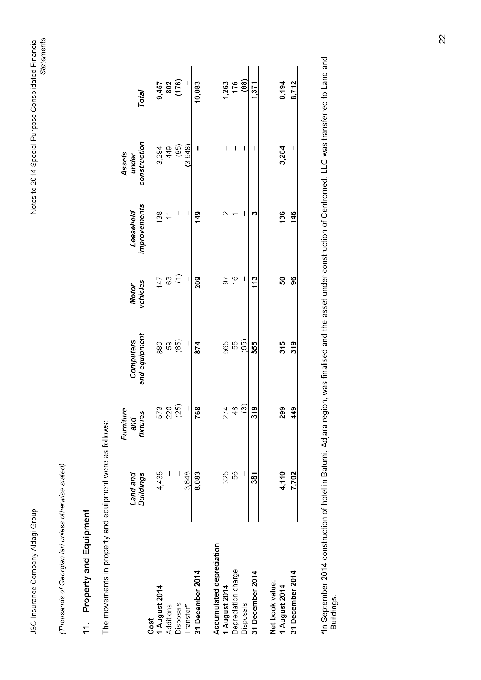JSC Insurance Company Aldagi Group

(Thousands of Georgian lari unless otherwise stated)

# 11. Property and Equipment

The movements in property and equipment were as follows:

|                                  |                  | Furniture               |                  |                  |                    | Assets       |                       |
|----------------------------------|------------------|-------------------------|------------------|------------------|--------------------|--------------|-----------------------|
|                                  | Land and         | and                     | <b>Computers</b> | <b>Motor</b>     | Leasehold          | under        |                       |
|                                  | <b>Buildings</b> | fixtures                | and equipment    | vehicles         | improvements       | construction | Total                 |
| Cost                             |                  |                         |                  |                  |                    |              |                       |
| 1 August 2014                    | 4,435            |                         |                  |                  | $\frac{13}{10}$    |              |                       |
| Additions                        |                  | 573<br>220<br>(25)      | 880<br>59        | $\frac{147}{63}$ |                    | 3,284<br>449 | 9,457<br>802<br>(176) |
| <b>Disposals</b>                 |                  |                         | (65)             |                  |                    | (85)         |                       |
| Transfer*                        | 3,648            | I                       | I                | I                | I                  | (3.648)      | I                     |
| 31 December 2014                 | 8,083            | 768                     | 874              | <b>209</b>       | 149                | Ī            | 10,083                |
| Accumulated depreciation         |                  |                         |                  |                  |                    |              |                       |
| 1 August 2014                    | 325              |                         |                  | 56               | $\scriptstyle\sim$ | I            |                       |
| Depreciation charge              | 89               | $274$<br>48             | 565<br>55        | $\frac{6}{5}$    |                    | I            | 1,263<br>176<br>(68)  |
| <b>Disposals</b>                 |                  | $\widehat{\mathcal{C}}$ | (65)             | I                | I                  | ı            |                       |
| 31 December 2014                 | 381              | 319                     | 555              | 113              | ∾                  | I            | 1,371                 |
| Net book value:<br>1 August 2014 | 4,110            | 299                     | 315              | 8                | 136                | 3,284        | 8,194                 |
| 31 December 2014                 | 7,702            | 449                     | 319              | 96               | 146                | ı            | 8,712                 |
|                                  |                  |                         |                  |                  |                    |              |                       |

\*In September 2014 construction of hotel in Batumi, Adjara region, was finalised and the asset under construction of Centromed, LLC was transferred to Land and<br>Buildings.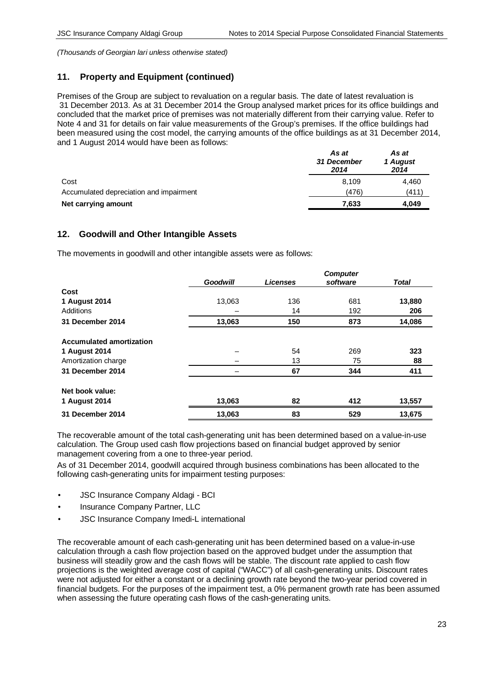# **11. Property and Equipment (continued)**

Premises of the Group are subject to revaluation on a regular basis. The date of latest revaluation is 31 December 2013. As at 31 December 2014 the Group analysed market prices for its office buildings and concluded that the market price of premises was not materially different from their carrying value. Refer to Note 4 and 31 for details on fair value measurements of the Group's premises. If the office buildings had been measured using the cost model, the carrying amounts of the office buildings as at 31 December 2014, and 1 August 2014 would have been as follows:

|                                         | As at<br>31 December<br>2014 | As at<br>1 August<br>2014 |
|-----------------------------------------|------------------------------|---------------------------|
| Cost                                    | 8.109                        | 4.460                     |
| Accumulated depreciation and impairment | (476)                        | (411)                     |
| Net carrying amount                     | 7,633                        | 4,049                     |

# **12. Goodwill and Other Intangible Assets**

The movements in goodwill and other intangible assets were as follows:

|                                 |                 |                 | <b>Computer</b> |              |
|---------------------------------|-----------------|-----------------|-----------------|--------------|
|                                 | <b>Goodwill</b> | <b>Licenses</b> | software        | <b>Total</b> |
| Cost                            |                 |                 |                 |              |
| 1 August 2014                   | 13,063          | 136             | 681             | 13,880       |
| Additions                       |                 | 14              | 192             | 206          |
| 31 December 2014                | 13,063          | 150             | 873             | 14,086       |
| <b>Accumulated amortization</b> |                 |                 |                 |              |
| 1 August 2014                   |                 | 54              | 269             | 323          |
| Amortization charge             |                 | 13              | 75              | 88           |
| 31 December 2014                |                 | 67              | 344             | 411          |
| Net book value:                 |                 |                 |                 |              |
| 1 August 2014                   | 13,063          | 82              | 412             | 13,557       |
| 31 December 2014                | 13,063          | 83              | 529             | 13,675       |

The recoverable amount of the total cash-generating unit has been determined based on a value-in-use calculation. The Group used cash flow projections based on financial budget approved by senior management covering from a one to three-year period.

As of 31 December 2014, goodwill acquired through business combinations has been allocated to the following cash-generating units for impairment testing purposes:

- JSC Insurance Company Aldagi BCI
- Insurance Company Partner, LLC
- JSC Insurance Company Imedi-L international

The recoverable amount of each cash-generating unit has been determined based on a value-in-use calculation through a cash flow projection based on the approved budget under the assumption that business will steadily grow and the cash flows will be stable. The discount rate applied to cash flow projections is the weighted average cost of capital ("WACC") of all cash-generating units. Discount rates were not adjusted for either a constant or a declining growth rate beyond the two-year period covered in financial budgets. For the purposes of the impairment test, a 0% permanent growth rate has been assumed when assessing the future operating cash flows of the cash-generating units.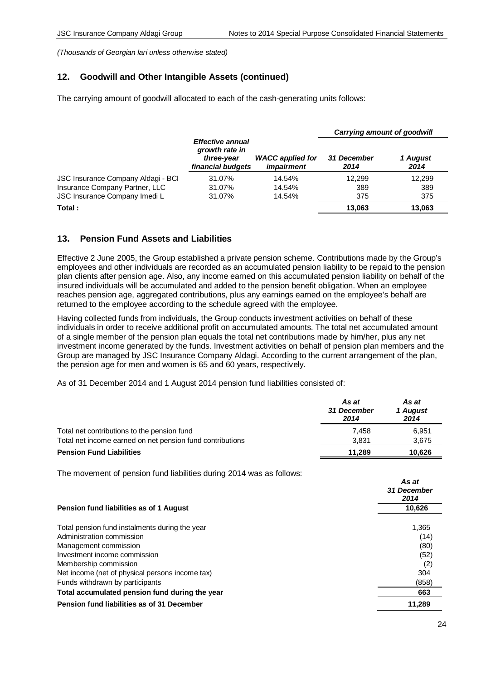# **12. Goodwill and Other Intangible Assets (continued)**

The carrying amount of goodwill allocated to each of the cash-generating units follows:

|                                    |                                                                       |                                              | <b>Carrying amount of goodwill</b> |                  |
|------------------------------------|-----------------------------------------------------------------------|----------------------------------------------|------------------------------------|------------------|
|                                    | Effective annual<br>growth rate in<br>three-year<br>financial budgets | <b>WACC</b> applied for<br><i>impairment</i> | <b>31 December</b><br>2014         | 1 August<br>2014 |
| JSC Insurance Company Aldagi - BCI | 31.07%                                                                | 14.54%                                       | 12.299                             | 12.299           |
| Insurance Company Partner, LLC     | 31.07%                                                                | 14.54%                                       | 389                                | 389              |
| JSC Insurance Company Imedi L      | 31.07%                                                                | 14.54%                                       | 375                                | 375              |
| Total:                             |                                                                       |                                              | 13.063                             | 13.063           |

# **13. Pension Fund Assets and Liabilities**

Effective 2 June 2005, the Group established a private pension scheme. Contributions made by the Group's employees and other individuals are recorded as an accumulated pension liability to be repaid to the pension plan clients after pension age. Also, any income earned on this accumulated pension liability on behalf of the insured individuals will be accumulated and added to the pension benefit obligation. When an employee reaches pension age, aggregated contributions, plus any earnings earned on the employee's behalf are returned to the employee according to the schedule agreed with the employee.

Having collected funds from individuals, the Group conducts investment activities on behalf of these individuals in order to receive additional profit on accumulated amounts. The total net accumulated amount of a single member of the pension plan equals the total net contributions made by him/her, plus any net investment income generated by the funds. Investment activities on behalf of pension plan members and the Group are managed by JSC Insurance Company Aldagi. According to the current arrangement of the plan, the pension age for men and women is 65 and 60 years, respectively.

As of 31 December 2014 and 1 August 2014 pension fund liabilities consisted of:

|                                                           | As at<br>31 December<br>2014 | As at<br>1 August<br>2014 |
|-----------------------------------------------------------|------------------------------|---------------------------|
| Total net contributions to the pension fund               | 7.458                        | 6.951                     |
| Total net income earned on net pension fund contributions | 3.831                        | 3,675                     |
| <b>Pension Fund Liabilities</b>                           | 11.289                       | 10.626                    |

The movement of pension fund liabilities during 2014 was as follows:

|                                                 | As at<br>31 December<br>2014 |
|-------------------------------------------------|------------------------------|
| Pension fund liabilities as of 1 August         | 10,626                       |
| Total pension fund instalments during the year  | 1,365                        |
| Administration commission                       | (14)                         |
| Management commission                           | (80)                         |
| Investment income commission                    | (52)                         |
| Membership commission                           | (2)                          |
| Net income (net of physical persons income tax) | 304                          |
| Funds withdrawn by participants                 | (858)                        |
| Total accumulated pension fund during the year  | 663                          |
| Pension fund liabilities as of 31 December      | 11,289                       |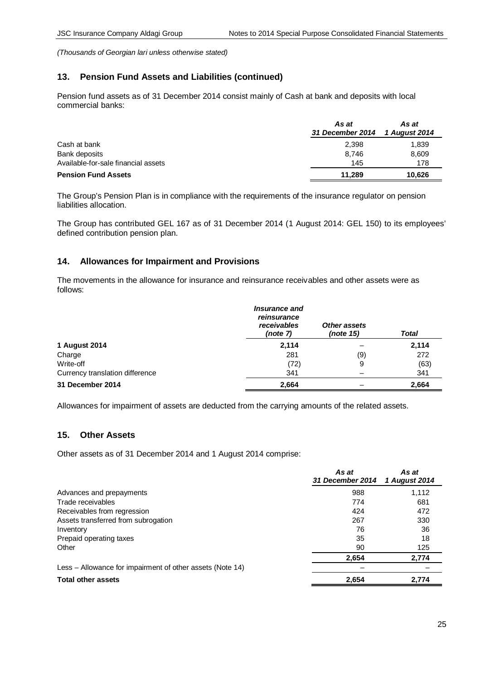# **13. Pension Fund Assets and Liabilities (continued)**

Pension fund assets as of 31 December 2014 consist mainly of Cash at bank and deposits with local commercial banks:

|                                     | As at<br>31 December 2014 1 August 2014 | As at  |
|-------------------------------------|-----------------------------------------|--------|
| Cash at bank                        | 2,398                                   | 1,839  |
| Bank deposits                       | 8.746                                   | 8,609  |
| Available-for-sale financial assets | 145                                     | 178    |
| <b>Pension Fund Assets</b>          | 11.289                                  | 10.626 |

The Group's Pension Plan is in compliance with the requirements of the insurance regulator on pension liabilities allocation.

The Group has contributed GEL 167 as of 31 December 2014 (1 August 2014: GEL 150) to its employees' defined contribution pension plan.

# **14. Allowances for Impairment and Provisions**

The movements in the allowance for insurance and reinsurance receivables and other assets were as follows:

|                                 | <i><b>Insurance and</b></i><br>reinsurance<br>receivables<br>(note 7) | Other assets<br>(note 15) | <b>Total</b> |
|---------------------------------|-----------------------------------------------------------------------|---------------------------|--------------|
| 1 August 2014                   | 2,114                                                                 |                           | 2,114        |
| Charge                          | 281                                                                   | (9)                       | 272          |
| Write-off                       | (72)                                                                  | 9                         | (63)         |
| Currency translation difference | 341                                                                   |                           | 341          |
| 31 December 2014                | 2,664                                                                 |                           | 2,664        |

Allowances for impairment of assets are deducted from the carrying amounts of the related assets.

# **15. Other Assets**

Other assets as of 31 December 2014 and 1 August 2014 comprise:

|                                                           | As at<br>31 December 2014 | As at<br>1 August 2014 |
|-----------------------------------------------------------|---------------------------|------------------------|
| Advances and prepayments                                  | 988                       | 1,112                  |
| Trade receivables                                         | 774                       | 681                    |
| Receivables from regression                               | 424                       | 472                    |
| Assets transferred from subrogation                       | 267                       | 330                    |
| Inventory                                                 | 76                        | 36                     |
| Prepaid operating taxes                                   | 35                        | 18                     |
| Other                                                     | 90                        | 125                    |
|                                                           | 2,654                     | 2,774                  |
| Less – Allowance for impairment of other assets (Note 14) |                           |                        |
| <b>Total other assets</b>                                 | 2,654                     | 2,774                  |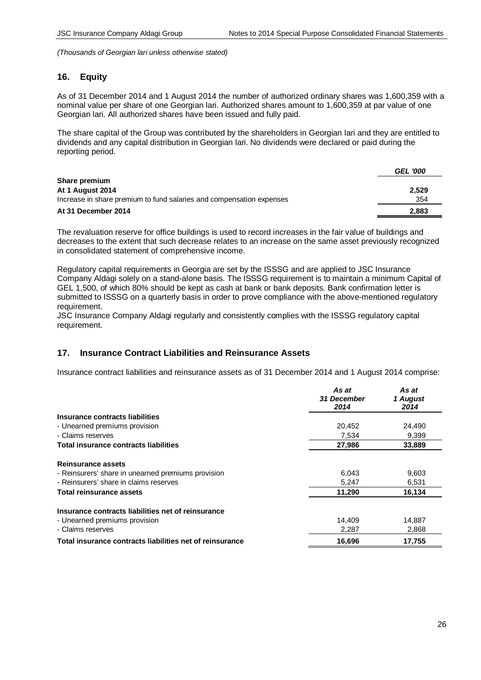## **16. Equity**

As of 31 December 2014 and 1 August 2014 the number of authorized ordinary shares was 1,600,359 with a nominal value per share of one Georgian lari. Authorized shares amount to 1,600,359 at par value of one Georgian lari. All authorized shares have been issued and fully paid.

The share capital of the Group was contributed by the shareholders in Georgian lari and they are entitled to dividends and any capital distribution in Georgian lari. No dividends were declared or paid during the reporting period.

|                                                                      | <b>GEL '000</b> |
|----------------------------------------------------------------------|-----------------|
| Share premium                                                        |                 |
| At 1 August 2014                                                     | 2.529           |
| Increase in share premium to fund salaries and compensation expenses | 354             |
| At 31 December 2014                                                  | 2,883           |

The revaluation reserve for office buildings is used to record increases in the fair value of buildings and decreases to the extent that such decrease relates to an increase on the same asset previously recognized in consolidated statement of comprehensive income.

Regulatory capital requirements in Georgia are set by the ISSSG and are applied to JSC Insurance Company Aldagi solely on a stand-alone basis. The ISSSG requirement is to maintain a minimum Capital of GEL 1,500, of which 80% should be kept as cash at bank or bank deposits. Bank confirmation letter is submitted to ISSSG on a quarterly basis in order to prove compliance with the above-mentioned regulatory requirement.

JSC Insurance Company Aldagi regularly and consistently complies with the ISSSG regulatory capital requirement.

## **17. Insurance Contract Liabilities and Reinsurance Assets**

Insurance contract liabilities and reinsurance assets as of 31 December 2014 and 1 August 2014 comprise:

|                                                          | As at<br>31 December<br>2014 | As at<br>1 August<br>2014 |
|----------------------------------------------------------|------------------------------|---------------------------|
| Insurance contracts liabilities                          |                              |                           |
| - Unearned premiums provision                            | 20,452                       | 24,490                    |
| - Claims reserves                                        | 7.534                        | 9,399                     |
| Total insurance contracts liabilities                    | 27,986                       | 33,889                    |
| Reinsurance assets                                       |                              |                           |
| - Reinsurers' share in unearned premiums provision       | 6,043                        | 9,603                     |
| - Reinsurers' share in claims reserves                   | 5.247                        | 6,531                     |
| Total reinsurance assets                                 | 11,290                       | 16,134                    |
| Insurance contracts liabilities net of reinsurance       |                              |                           |
| - Unearned premiums provision                            | 14,409                       | 14,887                    |
| - Claims reserves                                        | 2,287                        | 2,868                     |
| Total insurance contracts liabilities net of reinsurance | 16,696                       | 17,755                    |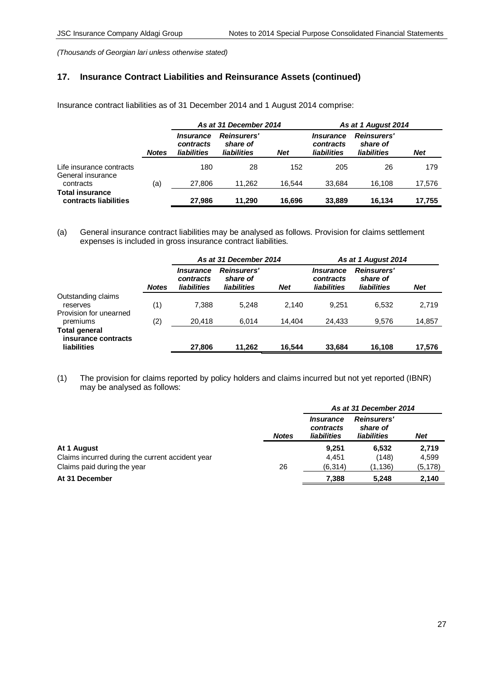# **17. Insurance Contract Liabilities and Reinsurance Assets (continued)**

Insurance contract liabilities as of 31 December 2014 and 1 August 2014 comprise:

|                                                 |              | As at 31 December 2014                              |                                               |            |                                       | As at 1 August 2014                           |            |  |
|-------------------------------------------------|--------------|-----------------------------------------------------|-----------------------------------------------|------------|---------------------------------------|-----------------------------------------------|------------|--|
|                                                 | <b>Notes</b> | <i><b>Insurance</b></i><br>contracts<br>liabilities | <b>Reinsurers'</b><br>share of<br>liabilities | <b>Net</b> | Insurance<br>contracts<br>liabilities | <b>Reinsurers'</b><br>share of<br>liabilities | <b>Net</b> |  |
| Life insurance contracts<br>General insurance   |              | 180                                                 | 28                                            | 152        | 205                                   | 26                                            | 179        |  |
| contracts                                       | (a)          | 27,806                                              | 11.262                                        | 16.544     | 33.684                                | 16.108                                        | 17.576     |  |
| <b>Total insurance</b><br>contracts liabilities |              | 27.986                                              | 11.290                                        | 16.696     | 33,889                                | 16.134                                        | 17.755     |  |

(a) General insurance contract liabilities may be analysed as follows. Provision for claims settlement expenses is included in gross insurance contract liabilities.

|                                                            |              | As at 31 December 2014                              |                                               |            | As at 1 August 2014                                 |                                               |            |  |
|------------------------------------------------------------|--------------|-----------------------------------------------------|-----------------------------------------------|------------|-----------------------------------------------------|-----------------------------------------------|------------|--|
|                                                            | <b>Notes</b> | <i><b>Insurance</b></i><br>contracts<br>liabilities | <b>Reinsurers'</b><br>share of<br>liabilities | <b>Net</b> | <i><b>Insurance</b></i><br>contracts<br>liabilities | <b>Reinsurers'</b><br>share of<br>liabilities | <b>Net</b> |  |
| Outstanding claims<br>reserves                             | (1)          | 7.388                                               | 5.248                                         | 2.140      | 9.251                                               | 6.532                                         | 2,719      |  |
| Provision for unearned<br>premiums                         | (2)          | 20.418                                              | 6.014                                         | 14.404     | 24,433                                              | 9,576                                         | 14,857     |  |
| <b>Total general</b><br>insurance contracts<br>liabilities |              | 27,806                                              | 11.262                                        | 16.544     | 33,684                                              | 16,108                                        | 17,576     |  |

(1) The provision for claims reported by policy holders and claims incurred but not yet reported (IBNR) may be analysed as follows:

|                                                  |              | As at 31 December 2014                              |                                               |            |  |  |
|--------------------------------------------------|--------------|-----------------------------------------------------|-----------------------------------------------|------------|--|--|
|                                                  | <b>Notes</b> | <i><b>Insurance</b></i><br>contracts<br>liabilities | <b>Reinsurers'</b><br>share of<br>liabilities | <b>Net</b> |  |  |
| At 1 August                                      |              | 9.251                                               | 6.532                                         | 2,719      |  |  |
| Claims incurred during the current accident year |              | 4.451                                               | (148)                                         | 4,599      |  |  |
| Claims paid during the year                      | 26           | (6,314)                                             | (1,136)                                       | (5, 178)   |  |  |
| At 31 December                                   |              | 7,388                                               | 5.248                                         | 2,140      |  |  |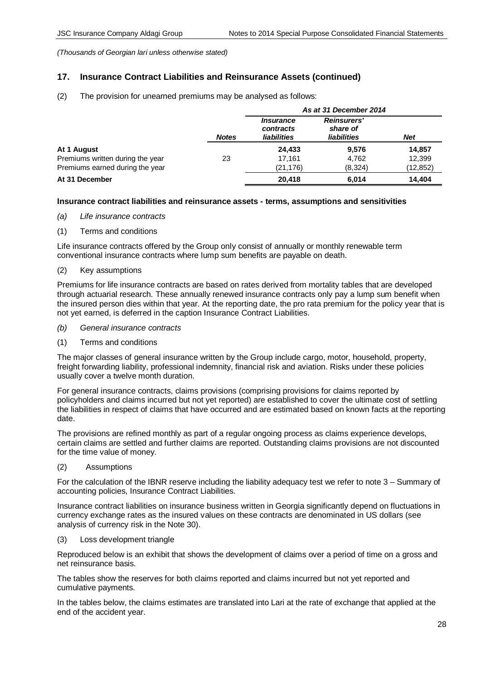# **17. Insurance Contract Liabilities and Reinsurance Assets (continued)**

(2) The provision for unearned premiums may be analysed as follows:

|                                  |              | As at 31 December 2014                              |                                               |            |  |  |
|----------------------------------|--------------|-----------------------------------------------------|-----------------------------------------------|------------|--|--|
|                                  | <b>Notes</b> | <i><b>Insurance</b></i><br>contracts<br>liabilities | <b>Reinsurers'</b><br>share of<br>liabilities | <b>Net</b> |  |  |
| At 1 August                      |              | 24,433                                              | 9.576                                         | 14,857     |  |  |
| Premiums written during the year | 23           | 17.161                                              | 4,762                                         | 12,399     |  |  |
| Premiums earned during the year  |              | (21, 176)                                           | (8,324)                                       | (12,852)   |  |  |
| At 31 December                   |              | 20,418                                              | 6.014                                         | 14.404     |  |  |

## **Insurance contract liabilities and reinsurance assets - terms, assumptions and sensitivities**

- *(a) Life insurance contracts*
- (1) Terms and conditions

Life insurance contracts offered by the Group only consist of annually or monthly renewable term conventional insurance contracts where lump sum benefits are payable on death.

(2) Key assumptions

Premiums for life insurance contracts are based on rates derived from mortality tables that are developed through actuarial research. These annually renewed insurance contracts only pay a lump sum benefit when the insured person dies within that year. At the reporting date, the pro rata premium for the policy year that is not yet earned, is deferred in the caption Insurance Contract Liabilities.

- *(b) General insurance contracts*
- (1) Terms and conditions

The major classes of general insurance written by the Group include cargo, motor, household, property, freight forwarding liability, professional indemnity, financial risk and aviation. Risks under these policies usually cover a twelve month duration.

For general insurance contracts, claims provisions (comprising provisions for claims reported by policyholders and claims incurred but not yet reported) are established to cover the ultimate cost of settling the liabilities in respect of claims that have occurred and are estimated based on known facts at the reporting date.

The provisions are refined monthly as part of a regular ongoing process as claims experience develops, certain claims are settled and further claims are reported. Outstanding claims provisions are not discounted for the time value of money.

(2) Assumptions

For the calculation of the IBNR reserve including the liability adequacy test we refer to note 3 – Summary of accounting policies, Insurance Contract Liabilities.

Insurance contract liabilities on insurance business written in Georgia significantly depend on fluctuations in currency exchange rates as the insured values on these contracts are denominated in US dollars (see analysis of currency risk in the Note 30).

(3) Loss development triangle

Reproduced below is an exhibit that shows the development of claims over a period of time on a gross and net reinsurance basis.

The tables show the reserves for both claims reported and claims incurred but not yet reported and cumulative payments.

In the tables below, the claims estimates are translated into Lari at the rate of exchange that applied at the end of the accident year.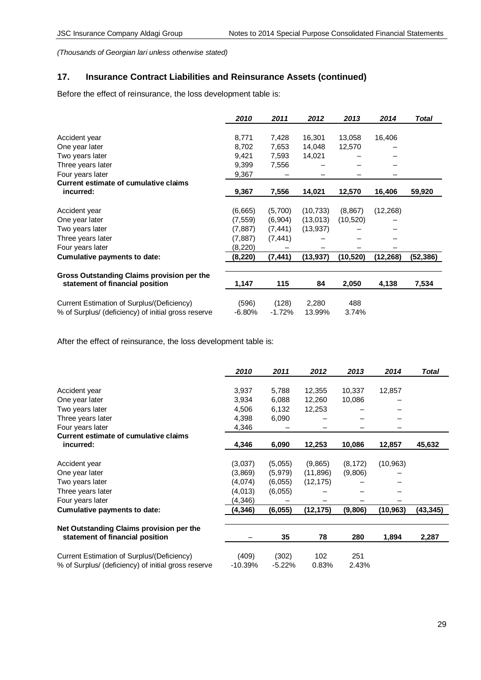# **17. Insurance Contract Liabilities and Reinsurance Assets (continued)**

Before the effect of reinsurance, the loss development table is:

|                                                     | 2010      | 2011     | 2012      | 2013      | 2014      | <b>Total</b> |
|-----------------------------------------------------|-----------|----------|-----------|-----------|-----------|--------------|
|                                                     |           |          |           |           |           |              |
| Accident year                                       | 8,771     | 7,428    | 16,301    | 13,058    | 16,406    |              |
| One year later                                      | 8,702     | 7,653    | 14,048    | 12,570    |           |              |
| Two years later                                     | 9,421     | 7,593    | 14,021    |           |           |              |
| Three years later                                   | 9,399     | 7,556    |           |           |           |              |
| Four years later                                    | 9,367     |          |           |           |           |              |
| Current estimate of cumulative claims               |           |          |           |           |           |              |
| incurred:                                           | 9,367     | 7,556    | 14,021    | 12,570    | 16,406    | 59,920       |
|                                                     |           |          |           |           |           |              |
| Accident year                                       | (6,665)   | (5,700)  | (10, 733) | (8, 867)  | (12, 268) |              |
| One year later                                      | (7, 559)  | (6,904)  | (13,013)  | (10, 520) |           |              |
| Two years later                                     | (7,887)   | (7, 441) | (13,937)  |           |           |              |
| Three years later                                   | (7, 887)  | (7, 441) |           |           |           |              |
| Four years later                                    | (8,220)   |          |           |           |           |              |
| <b>Cumulative payments to date:</b>                 | (8, 220)  | (7, 441) | (13,937)  | (10,520)  | (12,268)  | (52,386)     |
|                                                     |           |          |           |           |           |              |
| Gross Outstanding Claims provision per the          |           |          |           |           |           |              |
| statement of financial position                     | 1,147     | 115      | 84        | 2,050     | 4,138     | 7,534        |
|                                                     |           |          |           |           |           |              |
| Current Estimation of Surplus/(Deficiency)          | (596)     | (128)    | 2,280     | 488       |           |              |
| % of Surplus/ (deficiency) of initial gross reserve | $-6.80\%$ | $-1.72%$ | 13.99%    | 3.74%     |           |              |

After the effect of reinsurance, the loss development table is:

|                                                     | 2010      | 2011     | 2012      | 2013     | 2014      | <b>Total</b> |
|-----------------------------------------------------|-----------|----------|-----------|----------|-----------|--------------|
|                                                     |           |          |           |          |           |              |
| Accident year                                       | 3,937     | 5,788    | 12,355    | 10,337   | 12,857    |              |
| One year later                                      | 3,934     | 6,088    | 12,260    | 10,086   |           |              |
| Two years later                                     | 4,506     | 6,132    | 12,253    |          |           |              |
| Three years later                                   | 4,398     | 6,090    |           |          |           |              |
| Four years later                                    | 4,346     |          |           |          |           |              |
| <b>Current estimate of cumulative claims</b>        |           |          |           |          |           |              |
| incurred:                                           | 4,346     | 6,090    | 12,253    | 10,086   | 12,857    | 45,632       |
|                                                     |           |          |           |          |           |              |
| Accident year                                       | (3,037)   | (5,055)  | (9,865)   | (8, 172) | (10, 963) |              |
| One year later                                      | (3,869)   | (5,979)  | (11, 896) | (9,806)  |           |              |
| Two years later                                     | (4,074)   | (6,055)  | (12, 175) |          |           |              |
| Three years later                                   | (4,013)   | (6,055)  |           |          |           |              |
| Four years later                                    | (4,346)   |          |           |          |           |              |
| Cumulative payments to date:                        | (4, 346)  | (6,055)  | (12, 175) | (9,806)  | (10, 963) | (43, 345)    |
| Net Outstanding Claims provision per the            |           |          |           |          |           |              |
| statement of financial position                     |           | 35       | 78        | 280      | 1,894     | 2,287        |
| Current Estimation of Surplus/(Deficiency)          | (409)     | (302)    | 102       | 251      |           |              |
| % of Surplus/ (deficiency) of initial gross reserve | $-10.39%$ | $-5.22%$ | 0.83%     | 2.43%    |           |              |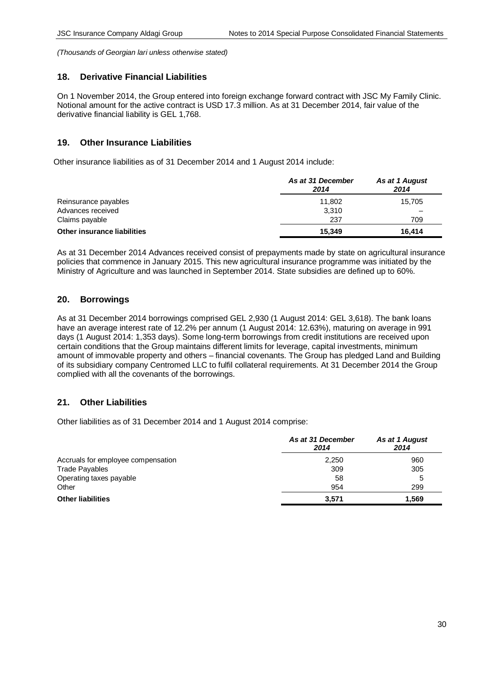## **18. Derivative Financial Liabilities**

On 1 November 2014, the Group entered into foreign exchange forward contract with JSC My Family Clinic. Notional amount for the active contract is USD 17.3 million. As at 31 December 2014, fair value of the derivative financial liability is GEL 1,768.

# **19. Other Insurance Liabilities**

Other insurance liabilities as of 31 December 2014 and 1 August 2014 include:

|                                    | As at 31 December<br>2014 | As at 1 August<br>2014 |
|------------------------------------|---------------------------|------------------------|
| Reinsurance payables               | 11.802                    | 15,705                 |
| Advances received                  | 3.310                     |                        |
| Claims payable                     | 237                       | 709                    |
| <b>Other insurance liabilities</b> | 15.349                    | 16.414                 |

As at 31 December 2014 Advances received consist of prepayments made by state on agricultural insurance policies that commence in January 2015. This new agricultural insurance programme was initiated by the Ministry of Agriculture and was launched in September 2014. State subsidies are defined up to 60%.

# **20. Borrowings**

As at 31 December 2014 borrowings comprised GEL 2,930 (1 August 2014: GEL 3,618). The bank loans have an average interest rate of 12.2% per annum (1 August 2014: 12.63%), maturing on average in 991 days (1 August 2014: 1,353 days). Some long-term borrowings from credit institutions are received upon certain conditions that the Group maintains different limits for leverage, capital investments, minimum amount of immovable property and others – financial covenants. The Group has pledged Land and Building of its subsidiary company Centromed LLC to fulfil collateral requirements. At 31 December 2014 the Group complied with all the covenants of the borrowings.

# **21. Other Liabilities**

Other liabilities as of 31 December 2014 and 1 August 2014 comprise:

|                                    | As at 31 December<br>2014 | As at 1 August<br>2014 |
|------------------------------------|---------------------------|------------------------|
| Accruals for employee compensation | 2,250                     | 960                    |
| <b>Trade Payables</b>              | 309                       | 305                    |
| Operating taxes payable            | 58                        | 5                      |
| Other                              | 954                       | 299                    |
| <b>Other liabilities</b>           | 3.571                     | 1.569                  |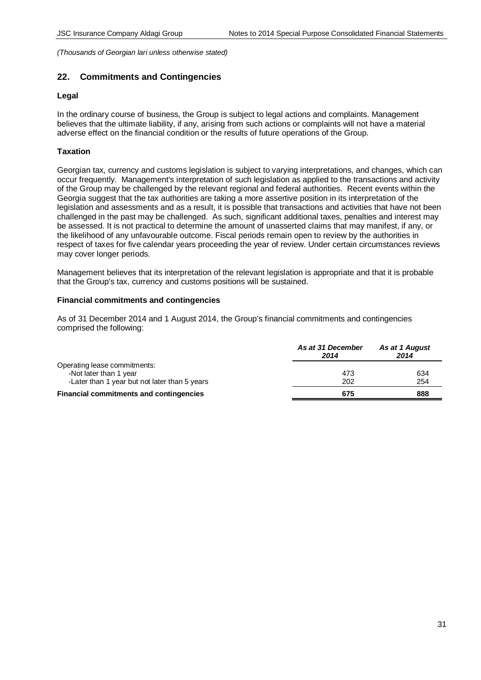# **22. Commitments and Contingencies**

## **Legal**

In the ordinary course of business, the Group is subject to legal actions and complaints. Management believes that the ultimate liability, if any, arising from such actions or complaints will not have a material adverse effect on the financial condition or the results of future operations of the Group.

## **Taxation**

Georgian tax, currency and customs legislation is subject to varying interpretations, and changes, which can occur frequently. Management's interpretation of such legislation as applied to the transactions and activity of the Group may be challenged by the relevant regional and federal authorities. Recent events within the Georgia suggest that the tax authorities are taking a more assertive position in its interpretation of the legislation and assessments and as a result, it is possible that transactions and activities that have not been challenged in the past may be challenged. As such, significant additional taxes, penalties and interest may be assessed. It is not practical to determine the amount of unasserted claims that may manifest, if any, or the likelihood of any unfavourable outcome. Fiscal periods remain open to review by the authorities in respect of taxes for five calendar years proceeding the year of review. Under certain circumstances reviews may cover longer periods.

Management believes that its interpretation of the relevant legislation is appropriate and that it is probable that the Group's tax, currency and customs positions will be sustained.

## **Financial commitments and contingencies**

As of 31 December 2014 and 1 August 2014, the Group's financial commitments and contingencies comprised the following:

|                                                | As at 31 December<br>2014 | As at 1 August<br>2014 |
|------------------------------------------------|---------------------------|------------------------|
| Operating lease commitments:                   |                           |                        |
| -Not later than 1 year                         | 473                       | 634                    |
| -Later than 1 year but not later than 5 years  | 202                       | 254                    |
| <b>Financial commitments and contingencies</b> | 675                       | 888                    |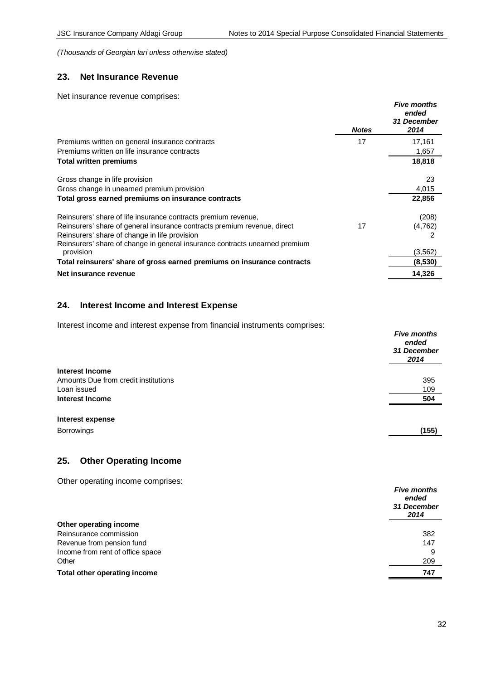# **23. Net Insurance Revenue**

Net insurance revenue comprises:

|                                                                                          | <b>Notes</b> | <b>Five months</b><br>ended<br>31 December<br>2014 |
|------------------------------------------------------------------------------------------|--------------|----------------------------------------------------|
| Premiums written on general insurance contracts                                          | 17           | 17,161                                             |
| Premiums written on life insurance contracts                                             |              | 1,657                                              |
| <b>Total written premiums</b>                                                            |              | 18,818                                             |
| Gross change in life provision                                                           |              | 23                                                 |
| Gross change in unearned premium provision                                               |              | 4,015                                              |
| Total gross earned premiums on insurance contracts                                       |              | 22,856                                             |
| Reinsurers' share of life insurance contracts premium revenue,                           |              | (208)                                              |
| Reinsurers' share of general insurance contracts premium revenue, direct                 | 17           | (4,762)                                            |
| Reinsurers' share of change in life provision                                            |              |                                                    |
| Reinsurers' share of change in general insurance contracts unearned premium<br>provision |              | (3, 562)                                           |
| Total reinsurers' share of gross earned premiums on insurance contracts                  |              | (8,530)                                            |
| Net insurance revenue                                                                    |              | 14,326                                             |

# **24. Interest Income and Interest Expense**

Interest income and interest expense from financial instruments comprises:

|                                      | <b>Five months</b><br>ended<br>31 December<br>2014 |
|--------------------------------------|----------------------------------------------------|
| Interest Income                      |                                                    |
| Amounts Due from credit institutions | 395                                                |
| Loan issued                          | 109                                                |
| <b>Interest Income</b>               | 504                                                |
| Interest expense                     |                                                    |
| <b>Borrowings</b>                    | (155)                                              |

## **25. Other Operating Income**

Other operating income comprises:

|                                  | <b>Five months</b><br>ended<br>31 December<br>2014 |
|----------------------------------|----------------------------------------------------|
| Other operating income           |                                                    |
| Reinsurance commission           | 382                                                |
| Revenue from pension fund        | 147                                                |
| Income from rent of office space | 9                                                  |
| Other                            | 209                                                |
| Total other operating income     | 747                                                |
|                                  |                                                    |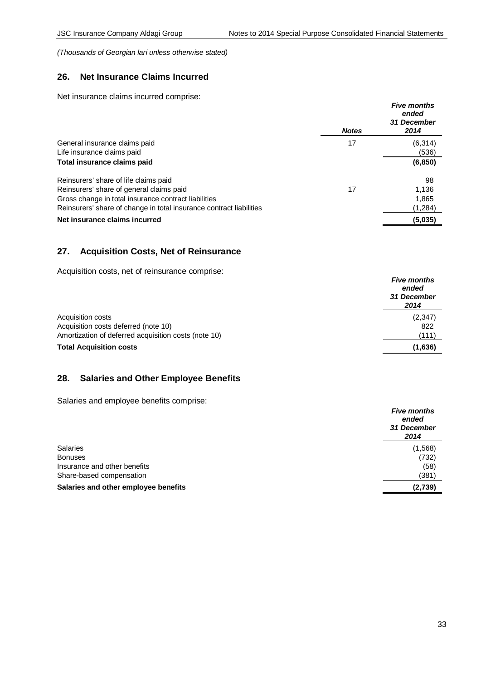# **26. Net Insurance Claims Incurred**

Net insurance claims incurred comprise:

|                                                                     | <b>Notes</b> | <b>Five months</b><br>ended<br>31 December<br>2014 |
|---------------------------------------------------------------------|--------------|----------------------------------------------------|
| General insurance claims paid                                       | 17           | (6, 314)                                           |
| Life insurance claims paid                                          |              | (536)                                              |
| Total insurance claims paid                                         |              | (6, 850)                                           |
| Reinsurers' share of life claims paid                               |              | 98                                                 |
| Reinsurers' share of general claims paid                            | 17           | 1,136                                              |
| Gross change in total insurance contract liabilities                |              | 1,865                                              |
| Reinsurers' share of change in total insurance contract liabilities |              | (1,284)                                            |
| Net insurance claims incurred                                       |              | (5,035)                                            |

## **27. Acquisition Costs, Net of Reinsurance**

Acquisition costs, net of reinsurance comprise:

|                                                      | <b>Five months</b><br>ended<br>31 December<br>2014 |
|------------------------------------------------------|----------------------------------------------------|
| Acquisition costs                                    | (2,347)                                            |
| Acquisition costs deferred (note 10)                 | 822                                                |
| Amortization of deferred acquisition costs (note 10) | (111)                                              |
| <b>Total Acquisition costs</b>                       | (1,636)                                            |

# **28. Salaries and Other Employee Benefits**

Salaries and employee benefits comprise:

|                                      | <b>Five months</b><br>ended<br>31 December<br>2014 |
|--------------------------------------|----------------------------------------------------|
| <b>Salaries</b>                      | (1,568)                                            |
| <b>Bonuses</b>                       | (732)                                              |
| Insurance and other benefits         | (58)                                               |
| Share-based compensation             | (381)                                              |
| Salaries and other employee benefits | (2,739)                                            |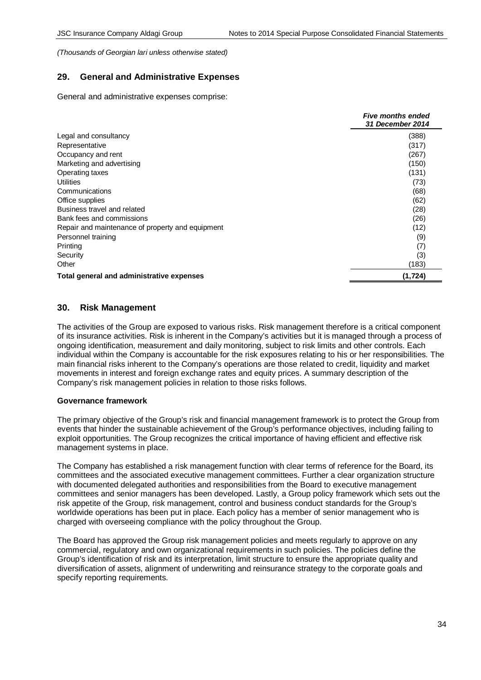# **29. General and Administrative Expenses**

General and administrative expenses comprise:

|                                                  | <b>Five months ended</b><br>31 December 2014 |
|--------------------------------------------------|----------------------------------------------|
| Legal and consultancy                            | (388)                                        |
| Representative                                   | (317)                                        |
| Occupancy and rent                               | (267)                                        |
| Marketing and advertising                        | (150)                                        |
| Operating taxes                                  | (131)                                        |
| Utilities                                        | (73)                                         |
| Communications                                   | (68)                                         |
| Office supplies                                  | (62)                                         |
| Business travel and related                      | (28)                                         |
| Bank fees and commissions                        | (26)                                         |
| Repair and maintenance of property and equipment | (12)                                         |
| Personnel training                               | (9)                                          |
| Printing                                         | (7)                                          |
| Security                                         | (3)                                          |
| Other                                            | (183)                                        |
| Total general and administrative expenses        | (1, 724)                                     |

## **30. Risk Management**

The activities of the Group are exposed to various risks. Risk management therefore is a critical component of its insurance activities. Risk is inherent in the Company's activities but it is managed through a process of ongoing identification, measurement and daily monitoring, subject to risk limits and other controls. Each individual within the Company is accountable for the risk exposures relating to his or her responsibilities. The main financial risks inherent to the Company's operations are those related to credit, liquidity and market movements in interest and foreign exchange rates and equity prices. A summary description of the Company's risk management policies in relation to those risks follows.

## **Governance framework**

The primary objective of the Group's risk and financial management framework is to protect the Group from events that hinder the sustainable achievement of the Group's performance objectives, including failing to exploit opportunities. The Group recognizes the critical importance of having efficient and effective risk management systems in place.

The Company has established a risk management function with clear terms of reference for the Board, its committees and the associated executive management committees. Further a clear organization structure with documented delegated authorities and responsibilities from the Board to executive management committees and senior managers has been developed. Lastly, a Group policy framework which sets out the risk appetite of the Group, risk management, control and business conduct standards for the Group's worldwide operations has been put in place. Each policy has a member of senior management who is charged with overseeing compliance with the policy throughout the Group.

The Board has approved the Group risk management policies and meets regularly to approve on any commercial, regulatory and own organizational requirements in such policies. The policies define the Group's identification of risk and its interpretation, limit structure to ensure the appropriate quality and diversification of assets, alignment of underwriting and reinsurance strategy to the corporate goals and specify reporting requirements.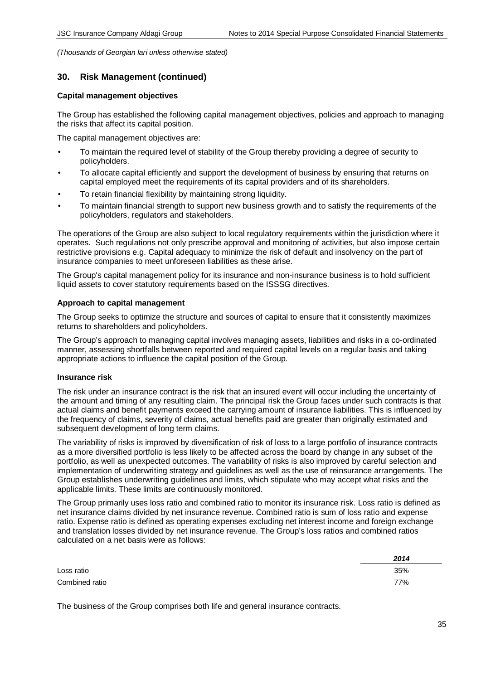## **30. Risk Management (continued)**

#### **Capital management objectives**

The Group has established the following capital management objectives, policies and approach to managing the risks that affect its capital position.

The capital management objectives are:

- To maintain the required level of stability of the Group thereby providing a degree of security to policyholders.
- To allocate capital efficiently and support the development of business by ensuring that returns on capital employed meet the requirements of its capital providers and of its shareholders.
- To retain financial flexibility by maintaining strong liquidity.
- To maintain financial strength to support new business growth and to satisfy the requirements of the policyholders, regulators and stakeholders.

The operations of the Group are also subject to local regulatory requirements within the jurisdiction where it operates. Such regulations not only prescribe approval and monitoring of activities, but also impose certain restrictive provisions e.g. Capital adequacy to minimize the risk of default and insolvency on the part of insurance companies to meet unforeseen liabilities as these arise.

The Group's capital management policy for its insurance and non-insurance business is to hold sufficient liquid assets to cover statutory requirements based on the ISSSG directives.

#### **Approach to capital management**

The Group seeks to optimize the structure and sources of capital to ensure that it consistently maximizes returns to shareholders and policyholders.

The Group's approach to managing capital involves managing assets, liabilities and risks in a co-ordinated manner, assessing shortfalls between reported and required capital levels on a regular basis and taking appropriate actions to influence the capital position of the Group.

## **Insurance risk**

The risk under an insurance contract is the risk that an insured event will occur including the uncertainty of the amount and timing of any resulting claim. The principal risk the Group faces under such contracts is that actual claims and benefit payments exceed the carrying amount of insurance liabilities. This is influenced by the frequency of claims, severity of claims, actual benefits paid are greater than originally estimated and subsequent development of long term claims.

The variability of risks is improved by diversification of risk of loss to a large portfolio of insurance contracts as a more diversified portfolio is less likely to be affected across the board by change in any subset of the portfolio, as well as unexpected outcomes. The variability of risks is also improved by careful selection and implementation of underwriting strategy and guidelines as well as the use of reinsurance arrangements. The Group establishes underwriting guidelines and limits, which stipulate who may accept what risks and the applicable limits. These limits are continuously monitored.

The Group primarily uses loss ratio and combined ratio to monitor its insurance risk. Loss ratio is defined as net insurance claims divided by net insurance revenue. Combined ratio is sum of loss ratio and expense ratio. Expense ratio is defined as operating expenses excluding net interest income and foreign exchange and translation losses divided by net insurance revenue. The Group's loss ratios and combined ratios calculated on a net basis were as follows:

|                | 2014 |
|----------------|------|
| Loss ratio     | 35%  |
| Combined ratio | 77%  |

The business of the Group comprises both life and general insurance contracts.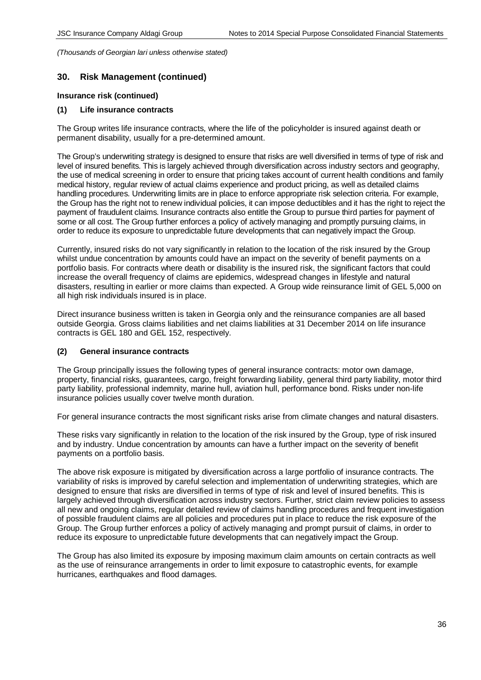# **30. Risk Management (continued)**

## **Insurance risk (continued)**

## **(1) Life insurance contracts**

The Group writes life insurance contracts, where the life of the policyholder is insured against death or permanent disability, usually for a pre-determined amount.

The Group's underwriting strategy is designed to ensure that risks are well diversified in terms of type of risk and level of insured benefits. This is largely achieved through diversification across industry sectors and geography, the use of medical screening in order to ensure that pricing takes account of current health conditions and family medical history, regular review of actual claims experience and product pricing, as well as detailed claims handling procedures. Underwriting limits are in place to enforce appropriate risk selection criteria. For example, the Group has the right not to renew individual policies, it can impose deductibles and it has the right to reject the payment of fraudulent claims. Insurance contracts also entitle the Group to pursue third parties for payment of some or all cost. The Group further enforces a policy of actively managing and promptly pursuing claims, in order to reduce its exposure to unpredictable future developments that can negatively impact the Group.

Currently, insured risks do not vary significantly in relation to the location of the risk insured by the Group whilst undue concentration by amounts could have an impact on the severity of benefit payments on a portfolio basis. For contracts where death or disability is the insured risk, the significant factors that could increase the overall frequency of claims are epidemics, widespread changes in lifestyle and natural disasters, resulting in earlier or more claims than expected. A Group wide reinsurance limit of GEL 5,000 on all high risk individuals insured is in place.

Direct insurance business written is taken in Georgia only and the reinsurance companies are all based outside Georgia. Gross claims liabilities and net claims liabilities at 31 December 2014 on life insurance contracts is GEL 180 and GEL 152, respectively.

## **(2) General insurance contracts**

The Group principally issues the following types of general insurance contracts: motor own damage, property, financial risks, guarantees, cargo, freight forwarding liability, general third party liability, motor third party liability, professional indemnity, marine hull, aviation hull, performance bond. Risks under non-life insurance policies usually cover twelve month duration.

For general insurance contracts the most significant risks arise from climate changes and natural disasters.

These risks vary significantly in relation to the location of the risk insured by the Group, type of risk insured and by industry. Undue concentration by amounts can have a further impact on the severity of benefit payments on a portfolio basis.

The above risk exposure is mitigated by diversification across a large portfolio of insurance contracts. The variability of risks is improved by careful selection and implementation of underwriting strategies, which are designed to ensure that risks are diversified in terms of type of risk and level of insured benefits. This is largely achieved through diversification across industry sectors. Further, strict claim review policies to assess all new and ongoing claims, regular detailed review of claims handling procedures and frequent investigation of possible fraudulent claims are all policies and procedures put in place to reduce the risk exposure of the Group. The Group further enforces a policy of actively managing and prompt pursuit of claims, in order to reduce its exposure to unpredictable future developments that can negatively impact the Group.

The Group has also limited its exposure by imposing maximum claim amounts on certain contracts as well as the use of reinsurance arrangements in order to limit exposure to catastrophic events, for example hurricanes, earthquakes and flood damages.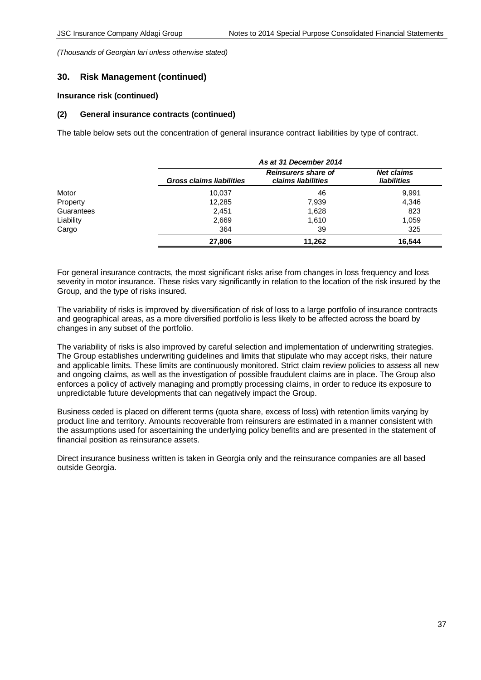## **30. Risk Management (continued)**

#### **Insurance risk (continued)**

#### **(2) General insurance contracts (continued)**

The table below sets out the concentration of general insurance contract liabilities by type of contract.

|            |                                 | As at 31 December 2014                           |                                  |  |  |
|------------|---------------------------------|--------------------------------------------------|----------------------------------|--|--|
|            | <b>Gross claims liabilities</b> | <b>Reinsurers share of</b><br>claims liabilities | <b>Net claims</b><br>liabilities |  |  |
| Motor      | 10,037                          | 46                                               | 9,991                            |  |  |
| Property   | 12,285                          | 7,939                                            | 4,346                            |  |  |
| Guarantees | 2,451                           | 1,628                                            | 823                              |  |  |
| Liability  | 2,669                           | 1,610                                            | 1,059                            |  |  |
| Cargo      | 364                             | 39                                               | 325                              |  |  |
|            | 27,806                          | 11,262                                           | 16.544                           |  |  |

For general insurance contracts, the most significant risks arise from changes in loss frequency and loss severity in motor insurance. These risks vary significantly in relation to the location of the risk insured by the Group, and the type of risks insured.

The variability of risks is improved by diversification of risk of loss to a large portfolio of insurance contracts and geographical areas, as a more diversified portfolio is less likely to be affected across the board by changes in any subset of the portfolio.

The variability of risks is also improved by careful selection and implementation of underwriting strategies. The Group establishes underwriting guidelines and limits that stipulate who may accept risks, their nature and applicable limits. These limits are continuously monitored. Strict claim review policies to assess all new and ongoing claims, as well as the investigation of possible fraudulent claims are in place. The Group also enforces a policy of actively managing and promptly processing claims, in order to reduce its exposure to unpredictable future developments that can negatively impact the Group.

Business ceded is placed on different terms (quota share, excess of loss) with retention limits varying by product line and territory. Amounts recoverable from reinsurers are estimated in a manner consistent with the assumptions used for ascertaining the underlying policy benefits and are presented in the statement of financial position as reinsurance assets.

Direct insurance business written is taken in Georgia only and the reinsurance companies are all based outside Georgia.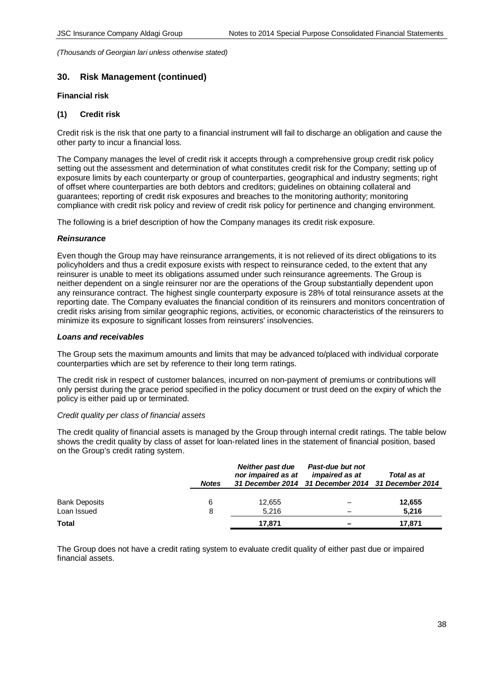# **30. Risk Management (continued)**

#### **Financial risk**

## **(1) Credit risk**

Credit risk is the risk that one party to a financial instrument will fail to discharge an obligation and cause the other party to incur a financial loss.

The Company manages the level of credit risk it accepts through a comprehensive group credit risk policy setting out the assessment and determination of what constitutes credit risk for the Company; setting up of exposure limits by each counterparty or group of counterparties, geographical and industry segments; right of offset where counterparties are both debtors and creditors; guidelines on obtaining collateral and guarantees; reporting of credit risk exposures and breaches to the monitoring authority; monitoring compliance with credit risk policy and review of credit risk policy for pertinence and changing environment.

The following is a brief description of how the Company manages its credit risk exposure.

## *Reinsurance*

Even though the Group may have reinsurance arrangements, it is not relieved of its direct obligations to its policyholders and thus a credit exposure exists with respect to reinsurance ceded, to the extent that any reinsurer is unable to meet its obligations assumed under such reinsurance agreements. The Group is neither dependent on a single reinsurer nor are the operations of the Group substantially dependent upon any reinsurance contract. The highest single counterparty exposure is 28% of total reinsurance assets at the reporting date. The Company evaluates the financial condition of its reinsurers and monitors concentration of credit risks arising from similar geographic regions, activities, or economic characteristics of the reinsurers to minimize its exposure to significant losses from reinsurers' insolvencies.

#### *Loans and receivables*

The Group sets the maximum amounts and limits that may be advanced to/placed with individual corporate counterparties which are set by reference to their long term ratings.

The credit risk in respect of customer balances, incurred on non-payment of premiums or contributions will only persist during the grace period specified in the policy document or trust deed on the expiry of which the policy is either paid up or terminated.

#### *Credit quality per class of financial assets*

The credit quality of financial assets is managed by the Group through internal credit ratings. The table below shows the credit quality by class of asset for loan-related lines in the statement of financial position, based on the Group's credit rating system.

|                      | <b>Notes</b> | <b>Neither past due</b><br>nor impaired as at | Past-due but not<br>impaired as at<br>31 December 2014 31 December 2014 31 December 2014 | Total as at |
|----------------------|--------------|-----------------------------------------------|------------------------------------------------------------------------------------------|-------------|
| <b>Bank Deposits</b> | 6            | 12,655                                        |                                                                                          | 12,655      |
| Loan Issued          | 8            | 5.216                                         |                                                                                          | 5,216       |
| Total                |              | 17.871                                        |                                                                                          | 17.871      |

The Group does not have a credit rating system to evaluate credit quality of either past due or impaired financial assets.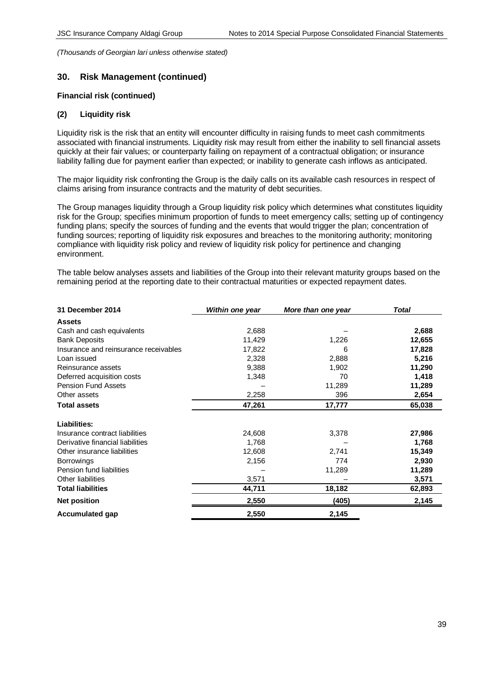## **30. Risk Management (continued)**

#### **Financial risk (continued)**

#### **(2) Liquidity risk**

Liquidity risk is the risk that an entity will encounter difficulty in raising funds to meet cash commitments associated with financial instruments. Liquidity risk may result from either the inability to sell financial assets quickly at their fair values; or counterparty failing on repayment of a contractual obligation; or insurance liability falling due for payment earlier than expected; or inability to generate cash inflows as anticipated.

The major liquidity risk confronting the Group is the daily calls on its available cash resources in respect of claims arising from insurance contracts and the maturity of debt securities.

The Group manages liquidity through a Group liquidity risk policy which determines what constitutes liquidity risk for the Group; specifies minimum proportion of funds to meet emergency calls; setting up of contingency funding plans; specify the sources of funding and the events that would trigger the plan; concentration of funding sources; reporting of liquidity risk exposures and breaches to the monitoring authority; monitoring compliance with liquidity risk policy and review of liquidity risk policy for pertinence and changing environment.

The table below analyses assets and liabilities of the Group into their relevant maturity groups based on the remaining period at the reporting date to their contractual maturities or expected repayment dates.

| 31 December 2014                      | Within one year | More than one year | <b>Total</b> |
|---------------------------------------|-----------------|--------------------|--------------|
| <b>Assets</b>                         |                 |                    |              |
| Cash and cash equivalents             | 2,688           |                    | 2,688        |
| <b>Bank Deposits</b>                  | 11,429          | 1,226              | 12,655       |
| Insurance and reinsurance receivables | 17,822          | 6                  | 17,828       |
| Loan issued                           | 2,328           | 2,888              | 5,216        |
| Reinsurance assets                    | 9,388           | 1,902              | 11,290       |
| Deferred acquisition costs            | 1,348           | 70                 | 1,418        |
| <b>Pension Fund Assets</b>            |                 | 11,289             | 11,289       |
| Other assets                          | 2,258           | 396                | 2,654        |
| <b>Total assets</b>                   | 47,261          | 17,777             | 65,038       |
| Liabilities:                          |                 |                    |              |
| Insurance contract liabilities        | 24,608          | 3,378              | 27,986       |
| Derivative financial liabilities      | 1,768           |                    | 1,768        |
| Other insurance liabilities           | 12,608          | 2,741              | 15,349       |
| <b>Borrowings</b>                     | 2,156           | 774                | 2,930        |
| Pension fund liabilities              |                 | 11,289             | 11,289       |
| Other liabilities                     | 3,571           |                    | 3,571        |
| <b>Total liabilities</b>              | 44,711          | 18,182             | 62,893       |
| <b>Net position</b>                   | 2,550           | (405)              | 2,145        |
| <b>Accumulated gap</b>                | 2,550           | 2,145              |              |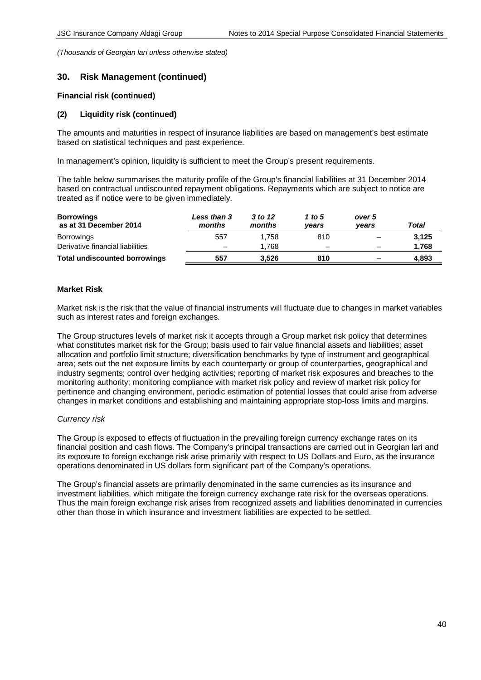# **30. Risk Management (continued)**

## **Financial risk (continued)**

## **(2) Liquidity risk (continued)**

The amounts and maturities in respect of insurance liabilities are based on management's best estimate based on statistical techniques and past experience.

In management's opinion, liquidity is sufficient to meet the Group's present requirements.

The table below summarises the maturity profile of the Group's financial liabilities at 31 December 2014 based on contractual undiscounted repayment obligations. Repayments which are subject to notice are treated as if notice were to be given immediately.

| <b>Borrowings</b><br>as at 31 December 2014 | Less than 3<br>months    | 3 to 12<br>months | 1 to 5<br>vears          | over 5<br>vears          | Total |
|---------------------------------------------|--------------------------|-------------------|--------------------------|--------------------------|-------|
| <b>Borrowings</b>                           | 557                      | 1.758             | 810                      | $\overline{\phantom{m}}$ | 3.125 |
| Derivative financial liabilities            | $\overline{\phantom{0}}$ | 1.768             | $\overline{\phantom{m}}$ | $\overline{\phantom{a}}$ | 1,768 |
| <b>Total undiscounted borrowings</b>        | 557                      | 3.526             | 810                      | -                        | 4,893 |

## **Market Risk**

Market risk is the risk that the value of financial instruments will fluctuate due to changes in market variables such as interest rates and foreign exchanges.

The Group structures levels of market risk it accepts through a Group market risk policy that determines what constitutes market risk for the Group; basis used to fair value financial assets and liabilities; asset allocation and portfolio limit structure; diversification benchmarks by type of instrument and geographical area; sets out the net exposure limits by each counterparty or group of counterparties, geographical and industry segments; control over hedging activities; reporting of market risk exposures and breaches to the monitoring authority; monitoring compliance with market risk policy and review of market risk policy for pertinence and changing environment, periodic estimation of potential losses that could arise from adverse changes in market conditions and establishing and maintaining appropriate stop-loss limits and margins.

## *Currency risk*

The Group is exposed to effects of fluctuation in the prevailing foreign currency exchange rates on its financial position and cash flows. The Company's principal transactions are carried out in Georgian lari and its exposure to foreign exchange risk arise primarily with respect to US Dollars and Euro, as the insurance operations denominated in US dollars form significant part of the Company's operations.

The Group's financial assets are primarily denominated in the same currencies as its insurance and investment liabilities, which mitigate the foreign currency exchange rate risk for the overseas operations. Thus the main foreign exchange risk arises from recognized assets and liabilities denominated in currencies other than those in which insurance and investment liabilities are expected to be settled.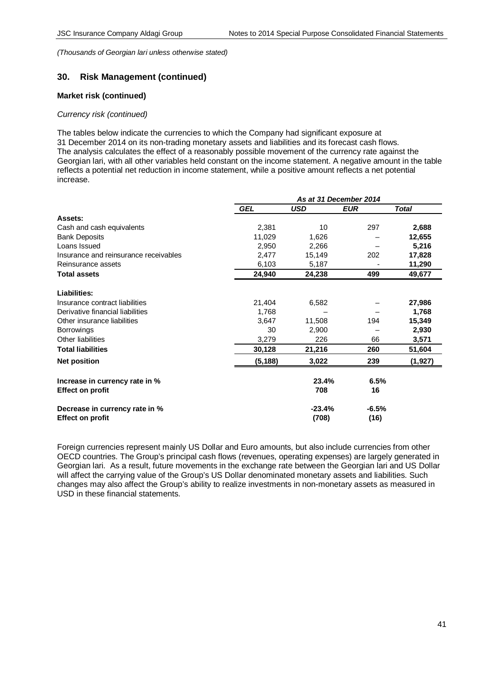## **30. Risk Management (continued)**

#### **Market risk (continued)**

#### *Currency risk (continued)*

The tables below indicate the currencies to which the Company had significant exposure at 31 December 2014 on its non-trading monetary assets and liabilities and its forecast cash flows. The analysis calculates the effect of a reasonably possible movement of the currency rate against the Georgian lari, with all other variables held constant on the income statement. A negative amount in the table reflects a potential net reduction in income statement, while a positive amount reflects a net potential increase.

|                                       | As at 31 December 2014 |            |            |              |
|---------------------------------------|------------------------|------------|------------|--------------|
|                                       | <b>GEL</b>             | <b>USD</b> | <b>EUR</b> | <b>Total</b> |
| Assets:                               |                        |            |            |              |
| Cash and cash equivalents             | 2,381                  | 10         | 297        | 2,688        |
| <b>Bank Deposits</b>                  | 11,029                 | 1,626      |            | 12,655       |
| Loans Issued                          | 2,950                  | 2,266      |            | 5,216        |
| Insurance and reinsurance receivables | 2,477                  | 15,149     | 202        | 17,828       |
| Reinsurance assets                    | 6,103                  | 5,187      |            | 11,290       |
| <b>Total assets</b>                   | 24,940                 | 24,238     | 499        | 49,677       |
| Liabilities:                          |                        |            |            |              |
| Insurance contract liabilities        | 21,404                 | 6,582      |            | 27,986       |
| Derivative financial liabilities      | 1,768                  |            |            | 1,768        |
| Other insurance liabilities           | 3,647                  | 11,508     | 194        | 15,349       |
| <b>Borrowings</b>                     | 30                     | 2,900      |            | 2,930        |
| Other liabilities                     | 3,279                  | 226        | 66         | 3,571        |
| <b>Total liabilities</b>              | 30,128                 | 21,216     | 260        | 51,604       |
| <b>Net position</b>                   | (5, 188)               | 3,022      | 239        | (1,927)      |
| Increase in currency rate in %        |                        | 23.4%      | 6.5%       |              |
| <b>Effect on profit</b>               |                        | 708        | 16         |              |
| Decrease in currency rate in %        |                        | $-23.4%$   | $-6.5%$    |              |
| <b>Effect on profit</b>               |                        | (708)      | (16)       |              |

Foreign currencies represent mainly US Dollar and Euro amounts, but also include currencies from other OECD countries. The Group's principal cash flows (revenues, operating expenses) are largely generated in Georgian lari. As a result, future movements in the exchange rate between the Georgian lari and US Dollar will affect the carrying value of the Group's US Dollar denominated monetary assets and liabilities. Such changes may also affect the Group's ability to realize investments in non-monetary assets as measured in USD in these financial statements.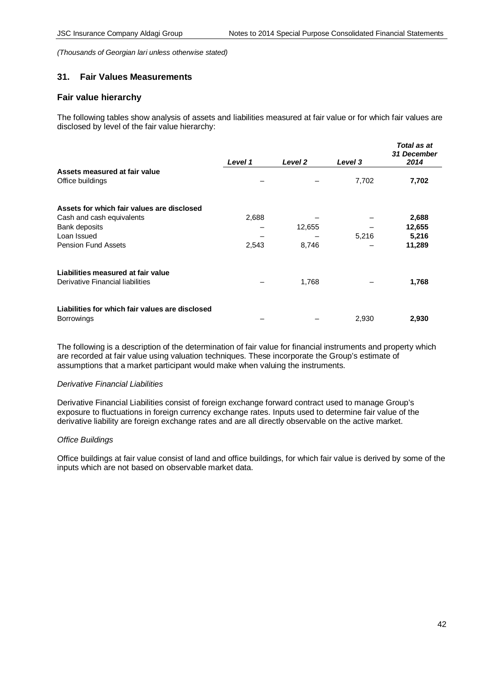# **31. Fair Values Measurements**

## **Fair value hierarchy**

The following tables show analysis of assets and liabilities measured at fair value or for which fair values are disclosed by level of the fair value hierarchy:

|                                                 | Level 1 | Level 2 | Level 3 | Total as at<br>31 December<br>2014 |
|-------------------------------------------------|---------|---------|---------|------------------------------------|
| Assets measured at fair value                   |         |         |         |                                    |
| Office buildings                                |         |         | 7,702   | 7,702                              |
| Assets for which fair values are disclosed      |         |         |         |                                    |
| Cash and cash equivalents                       | 2,688   |         |         | 2,688                              |
| Bank deposits                                   |         | 12,655  |         | 12,655                             |
| Loan Issued                                     |         |         | 5,216   | 5,216                              |
| <b>Pension Fund Assets</b>                      | 2,543   | 8,746   |         | 11,289                             |
| Liabilities measured at fair value              |         |         |         |                                    |
| Derivative Financial liabilities                |         | 1,768   |         | 1,768                              |
| Liabilities for which fair values are disclosed |         |         |         |                                    |
| <b>Borrowings</b>                               |         |         | 2,930   | 2,930                              |

The following is a description of the determination of fair value for financial instruments and property which are recorded at fair value using valuation techniques. These incorporate the Group's estimate of assumptions that a market participant would make when valuing the instruments.

## *Derivative Financial Liabilities*

Derivative Financial Liabilities consist of foreign exchange forward contract used to manage Group's exposure to fluctuations in foreign currency exchange rates. Inputs used to determine fair value of the derivative liability are foreign exchange rates and are all directly observable on the active market.

## *Office Buildings*

Office buildings at fair value consist of land and office buildings, for which fair value is derived by some of the inputs which are not based on observable market data.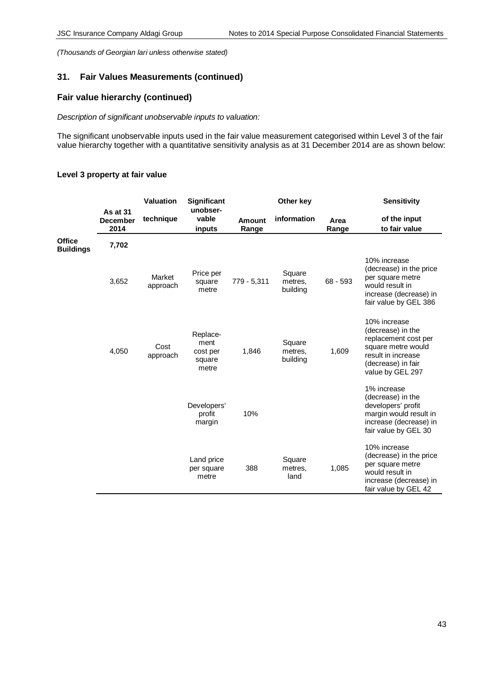# **31. Fair Values Measurements (continued)**

# **Fair value hierarchy (continued)**

## *Description of significant unobservable inputs to valuation:*

The significant unobservable inputs used in the fair value measurement categorised within Level 3 of the fair value hierarchy together with a quantitative sensitivity analysis as at 31 December 2014 are as shown below:

|                                   |                                            | Valuation          | <b>Significant</b>                              |                        | Other key                     |               | <b>Sensitivity</b>                                                                                                                              |
|-----------------------------------|--------------------------------------------|--------------------|-------------------------------------------------|------------------------|-------------------------------|---------------|-------------------------------------------------------------------------------------------------------------------------------------------------|
|                                   | <b>As at 31</b><br><b>December</b><br>2014 | technique          | unobser-<br>vable<br>inputs                     | <b>Amount</b><br>Range | information                   | Area<br>Range | of the input<br>to fair value                                                                                                                   |
| <b>Office</b><br><b>Buildings</b> | 7,702                                      |                    |                                                 |                        |                               |               |                                                                                                                                                 |
|                                   | 3,652                                      | Market<br>approach | Price per<br>square<br>metre                    | 779 - 5,311            | Square<br>metres,<br>building | $68 - 593$    | 10% increase<br>(decrease) in the price<br>per square metre<br>would result in<br>increase (decrease) in<br>fair value by GEL 386               |
|                                   | 4,050                                      | Cost<br>approach   | Replace-<br>ment<br>cost per<br>square<br>metre | 1,846                  | Square<br>metres,<br>building | 1,609         | 10% increase<br>(decrease) in the<br>replacement cost per<br>square metre would<br>result in increase<br>(decrease) in fair<br>value by GEL 297 |
|                                   |                                            |                    | Developers'<br>profit<br>margin                 | 10%                    |                               |               | 1% increase<br>(decrease) in the<br>developers' profit<br>margin would result in<br>increase (decrease) in<br>fair value by GEL 30              |
|                                   |                                            |                    | Land price<br>per square<br>metre               | 388                    | Square<br>metres.<br>land     | 1,085         | 10% increase<br>(decrease) in the price<br>per square metre<br>would result in<br>increase (decrease) in<br>fair value by GEL 42                |

## **Level 3 property at fair value**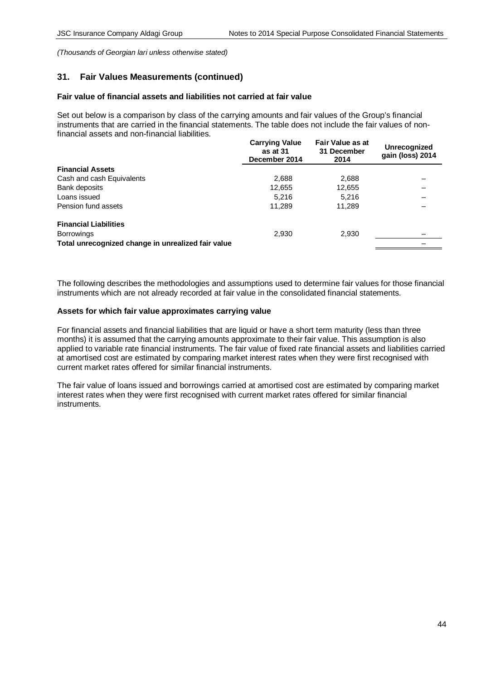## **31. Fair Values Measurements (continued)**

## **Fair value of financial assets and liabilities not carried at fair value**

Set out below is a comparison by class of the carrying amounts and fair values of the Group's financial instruments that are carried in the financial statements. The table does not include the fair values of nonfinancial assets and non-financial liabilities.

|                                                    | <b>Carrying Value</b><br>as at 31<br>December 2014 | Fair Value as at<br>31 December<br>2014 | <b>Unrecognized</b><br>gain (loss) 2014 |
|----------------------------------------------------|----------------------------------------------------|-----------------------------------------|-----------------------------------------|
| <b>Financial Assets</b>                            |                                                    |                                         |                                         |
| Cash and cash Equivalents                          | 2,688                                              | 2,688                                   |                                         |
| Bank deposits                                      | 12,655                                             | 12,655                                  |                                         |
| Loans issued                                       | 5.216                                              | 5.216                                   |                                         |
| Pension fund assets                                | 11,289                                             | 11.289                                  |                                         |
| <b>Financial Liabilities</b>                       |                                                    |                                         |                                         |
| <b>Borrowings</b>                                  | 2,930                                              | 2,930                                   |                                         |
| Total unrecognized change in unrealized fair value |                                                    |                                         |                                         |
|                                                    |                                                    |                                         |                                         |

The following describes the methodologies and assumptions used to determine fair values for those financial instruments which are not already recorded at fair value in the consolidated financial statements.

## **Assets for which fair value approximates carrying value**

For financial assets and financial liabilities that are liquid or have a short term maturity (less than three months) it is assumed that the carrying amounts approximate to their fair value. This assumption is also applied to variable rate financial instruments. The fair value of fixed rate financial assets and liabilities carried at amortised cost are estimated by comparing market interest rates when they were first recognised with current market rates offered for similar financial instruments.

The fair value of loans issued and borrowings carried at amortised cost are estimated by comparing market interest rates when they were first recognised with current market rates offered for similar financial instruments.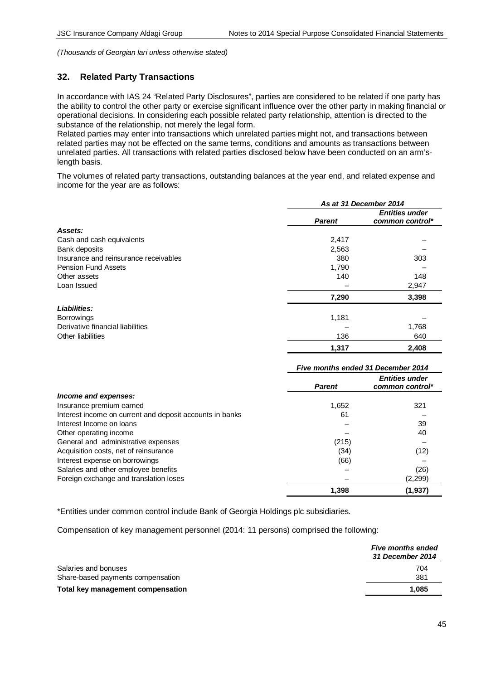## **32. Related Party Transactions**

In accordance with IAS 24 "Related Party Disclosures", parties are considered to be related if one party has the ability to control the other party or exercise significant influence over the other party in making financial or operational decisions. In considering each possible related party relationship, attention is directed to the substance of the relationship, not merely the legal form.

Related parties may enter into transactions which unrelated parties might not, and transactions between related parties may not be effected on the same terms, conditions and amounts as transactions between unrelated parties. All transactions with related parties disclosed below have been conducted on an arm'slength basis.

The volumes of related party transactions, outstanding balances at the year end, and related expense and income for the year are as follows:

|                                       | As at 31 December 2014 |                                          |  |
|---------------------------------------|------------------------|------------------------------------------|--|
|                                       | <b>Parent</b>          | <b>Entities under</b><br>common control* |  |
| Assets:                               |                        |                                          |  |
| Cash and cash equivalents             | 2,417                  |                                          |  |
| Bank deposits                         | 2,563                  |                                          |  |
| Insurance and reinsurance receivables | 380                    | 303                                      |  |
| <b>Pension Fund Assets</b>            | 1,790                  |                                          |  |
| Other assets                          | 140                    | 148                                      |  |
| Loan Issued                           |                        | 2,947                                    |  |
|                                       | 7,290                  | 3,398                                    |  |
| Liabilities:                          |                        |                                          |  |
| <b>Borrowings</b>                     | 1,181                  |                                          |  |
| Derivative financial liabilities      |                        | 1,768                                    |  |
| Other liabilities                     | 136                    | 640                                      |  |
|                                       | 1,317                  | 2.408                                    |  |

|                                                          | Five months ended 31 December 2014 |                                          |  |
|----------------------------------------------------------|------------------------------------|------------------------------------------|--|
|                                                          | <b>Parent</b>                      | <b>Entities under</b><br>common control* |  |
| Income and expenses:                                     |                                    |                                          |  |
| Insurance premium earned                                 | 1,652                              | 321                                      |  |
| Interest income on current and deposit accounts in banks | 61                                 |                                          |  |
| Interest Income on loans                                 |                                    | 39                                       |  |
| Other operating income                                   |                                    | 40                                       |  |
| General and administrative expenses                      | (215)                              |                                          |  |
| Acquisition costs, net of reinsurance                    | (34)                               | (12)                                     |  |
| Interest expense on borrowings                           | (66)                               |                                          |  |
| Salaries and other employee benefits                     |                                    | (26)                                     |  |
| Foreign exchange and translation loses                   |                                    | (2, 299)                                 |  |
|                                                          | 1,398                              | (1, 937)                                 |  |

\*Entities under common control include Bank of Georgia Holdings plc subsidiaries.

Compensation of key management personnel (2014: 11 persons) comprised the following:

|                                   | <b>Five months ended</b><br><b>31 December 2014</b> |
|-----------------------------------|-----------------------------------------------------|
| Salaries and bonuses              | 704                                                 |
| Share-based payments compensation | 381                                                 |
| Total key management compensation | 1.085                                               |